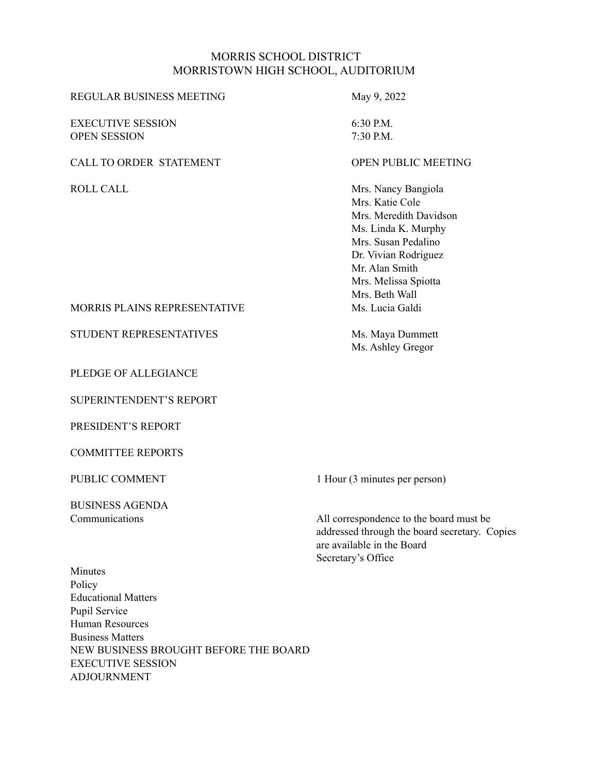#### MORRIS SCHOOL DISTRICT MORRISTOWN HIGH SCHOOL, AUDITORIUM

# REGULAR BUSINESS MEETING May 9, 2022 EXECUTIVE SESSION 6:30 P.M.

OPEN SESSION 7:30 P.M.

#### CALL TO ORDER STATEMENT **CALL TO OPEN PUBLIC MEETING**

ROLL CALL Mrs. Nancy Bangiola Mrs. Katie Cole Mrs. Meredith Davidson Ms. Linda K. Murphy Mrs. Susan Pedalino Dr. Vivian Rodriguez Mr. Alan Smith Mrs. Melissa Spiotta Mrs. Beth Wall

Ms. Ashley Gregor

# MORRIS PLAINS REPRESENTATIVE Ms. Lucia Galdi

STUDENT REPRESENTATIVES Ms. Maya Dummett

PLEDGE OF ALLEGIANCE

SUPERINTENDENT'S REPORT

PRESIDENT'S REPORT

COMMITTEE REPORTS

BUSINESS AGENDA

PUBLIC COMMENT 1 Hour (3 minutes per person)

Communications All correspondence to the board must be addressed through the board secretary. Copies are available in the Board Secretary's Office

Minutes Policy Educational Matters Pupil Service Human Resources Business Matters NEW BUSINESS BROUGHT BEFORE THE BOARD EXECUTIVE SESSION ADJOURNMENT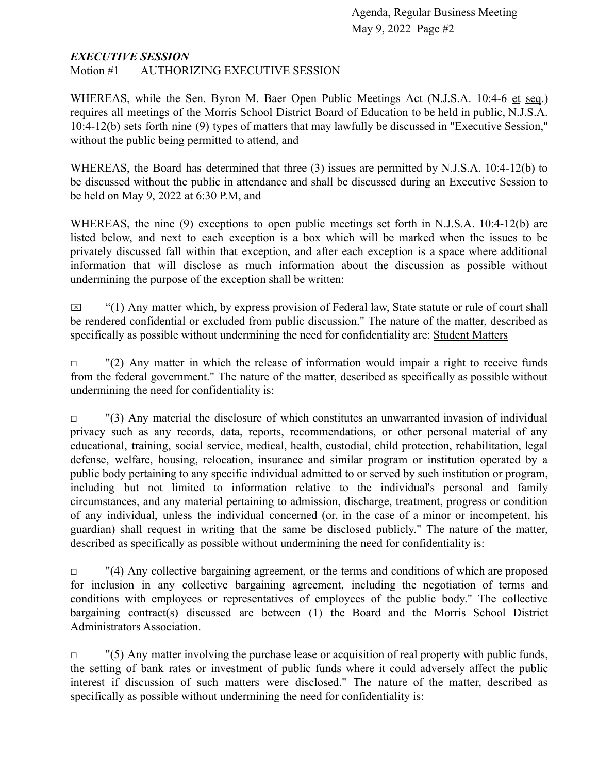#### *EXECUTIVE SESSION*

Motion #1 AUTHORIZING EXECUTIVE SESSION

WHEREAS, while the Sen. Byron M. Baer Open Public Meetings Act (N.J.S.A. 10:4-6 et seq.) requires all meetings of the Morris School District Board of Education to be held in public, N.J.S.A. 10:4-12(b) sets forth nine (9) types of matters that may lawfully be discussed in "Executive Session," without the public being permitted to attend, and

WHEREAS, the Board has determined that three (3) issues are permitted by N.J.S.A. 10:4-12(b) to be discussed without the public in attendance and shall be discussed during an Executive Session to be held on May 9, 2022 at 6:30 P.M, and

WHEREAS, the nine (9) exceptions to open public meetings set forth in N.J.S.A. 10:4-12(b) are listed below, and next to each exception is a box which will be marked when the issues to be privately discussed fall within that exception, and after each exception is a space where additional information that will disclose as much information about the discussion as possible without undermining the purpose of the exception shall be written:

 $\boxtimes$  "(1) Any matter which, by express provision of Federal law, State statute or rule of court shall be rendered confidential or excluded from public discussion." The nature of the matter, described as specifically as possible without undermining the need for confidentiality are: Student Matters

 $\Box$  "(2) Any matter in which the release of information would impair a right to receive funds from the federal government." The nature of the matter, described as specifically as possible without undermining the need for confidentiality is:

 $\Box$  "(3) Any material the disclosure of which constitutes an unwarranted invasion of individual privacy such as any records, data, reports, recommendations, or other personal material of any educational, training, social service, medical, health, custodial, child protection, rehabilitation, legal defense, welfare, housing, relocation, insurance and similar program or institution operated by a public body pertaining to any specific individual admitted to or served by such institution or program, including but not limited to information relative to the individual's personal and family circumstances, and any material pertaining to admission, discharge, treatment, progress or condition of any individual, unless the individual concerned (or, in the case of a minor or incompetent, his guardian) shall request in writing that the same be disclosed publicly." The nature of the matter, described as specifically as possible without undermining the need for confidentiality is:

 $\Box$  "(4) Any collective bargaining agreement, or the terms and conditions of which are proposed for inclusion in any collective bargaining agreement, including the negotiation of terms and conditions with employees or representatives of employees of the public body." The collective bargaining contract(s) discussed are between (1) the Board and the Morris School District Administrators Association.

 $\Box$  "(5) Any matter involving the purchase lease or acquisition of real property with public funds, the setting of bank rates or investment of public funds where it could adversely affect the public interest if discussion of such matters were disclosed." The nature of the matter, described as specifically as possible without undermining the need for confidentiality is: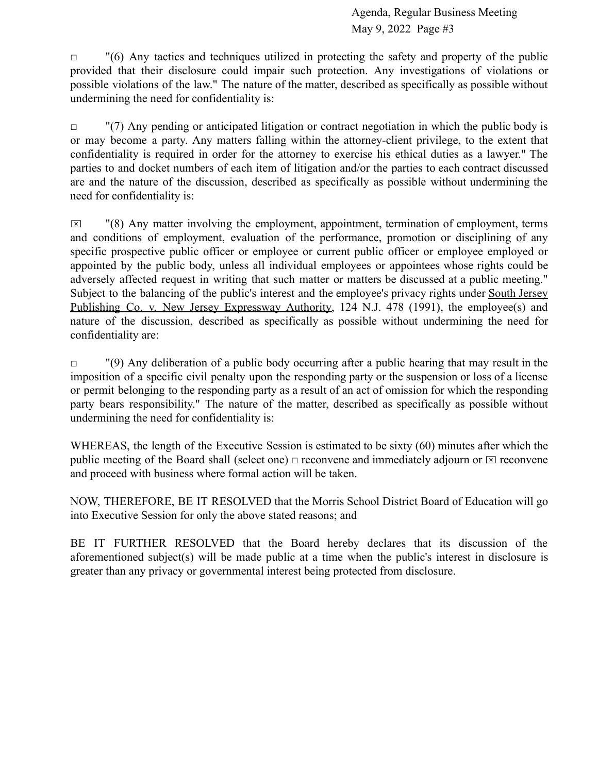$\Box$  "(6) Any tactics and techniques utilized in protecting the safety and property of the public provided that their disclosure could impair such protection. Any investigations of violations or possible violations of the law." The nature of the matter, described as specifically as possible without undermining the need for confidentiality is:

 $\Box$  "(7) Any pending or anticipated litigation or contract negotiation in which the public body is or may become a party. Any matters falling within the attorney-client privilege, to the extent that confidentiality is required in order for the attorney to exercise his ethical duties as a lawyer." The parties to and docket numbers of each item of litigation and/or the parties to each contract discussed are and the nature of the discussion, described as specifically as possible without undermining the need for confidentiality is:

 $\boxtimes$  "(8) Any matter involving the employment, appointment, termination of employment, terms and conditions of employment, evaluation of the performance, promotion or disciplining of any specific prospective public officer or employee or current public officer or employee employed or appointed by the public body, unless all individual employees or appointees whose rights could be adversely affected request in writing that such matter or matters be discussed at a public meeting." Subject to the balancing of the public's interest and the employee's privacy rights under South Jersey Publishing Co. v. New Jersey Expressway Authority, 124 N.J. 478 (1991), the employee(s) and nature of the discussion, described as specifically as possible without undermining the need for confidentiality are:

 $\Box$  "(9) Any deliberation of a public body occurring after a public hearing that may result in the imposition of a specific civil penalty upon the responding party or the suspension or loss of a license or permit belonging to the responding party as a result of an act of omission for which the responding party bears responsibility." The nature of the matter, described as specifically as possible without undermining the need for confidentiality is:

WHEREAS, the length of the Executive Session is estimated to be sixty (60) minutes after which the public meeting of the Board shall (select one)  $\Box$  reconvene and immediately adjourn or  $\Box$  reconvene and proceed with business where formal action will be taken.

NOW, THEREFORE, BE IT RESOLVED that the Morris School District Board of Education will go into Executive Session for only the above stated reasons; and

BE IT FURTHER RESOLVED that the Board hereby declares that its discussion of the aforementioned subject(s) will be made public at a time when the public's interest in disclosure is greater than any privacy or governmental interest being protected from disclosure.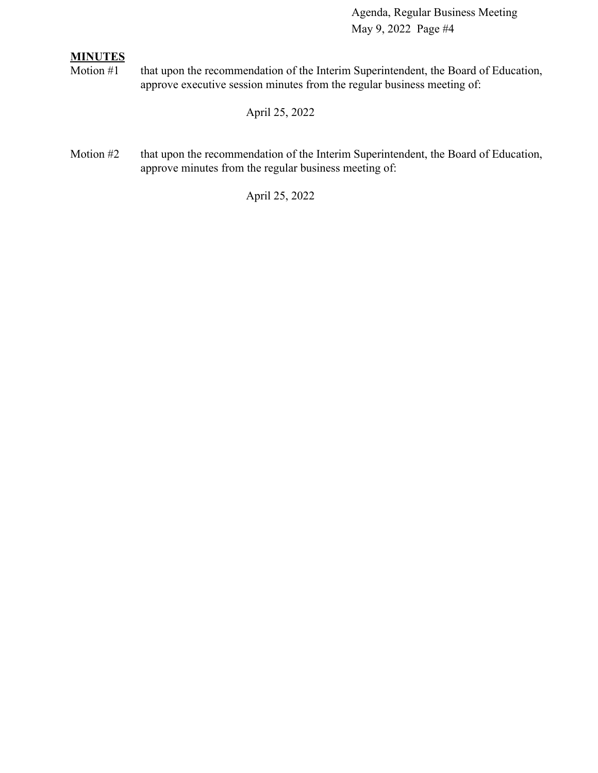# **MINUTES**

Motion #1 that upon the recommendation of the Interim Superintendent, the Board of Education, approve executive session minutes from the regular business meeting of:

April 25, 2022

Motion #2 that upon the recommendation of the Interim Superintendent, the Board of Education, approve minutes from the regular business meeting of:

April 25, 2022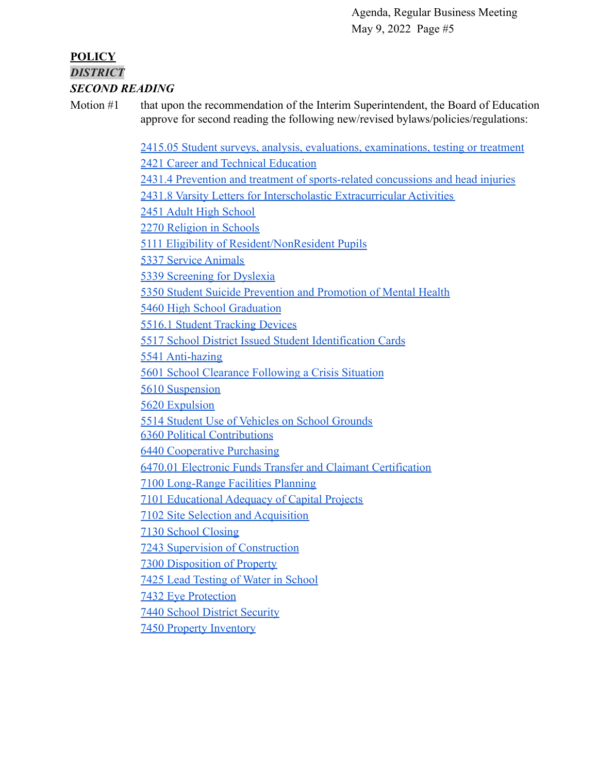#### **POLICY** *DISTRICT SECOND READING*

Motion #1 that upon the recommendation of the Interim Superintendent, the Board of Education approve for second reading the following new/revised bylaws/policies/regulations:

> [2415.05 Student surveys, analysis, evaluations, examinations, testing or treatment](https://docs.google.com/document/d/137gn3lVGXJeBsykUxIKXI6Z0CvRW0qoO/edit?usp=sharing&ouid=116999334560462810204&rtpof=true&sd=true) [2421 Career and Technical Education](https://drive.google.com/file/d/10QZY2hlljX5P96LrBwVkmtP5UmS3uGeO/view?usp=sharing) [2431.4 Prevention and treatment of sports-related concussions and head injuries](https://docs.google.com/document/d/1hnAutvBWPFqH3BDfYrmtHGgwxqp0C5ID/edit?usp=sharing&ouid=116999334560462810204&rtpof=true&sd=true) [2431.8 Varsity Letters for Interscholastic Extracurricular Activities](https://drive.google.com/file/d/1nLnHppj7X_5WbBiR6dkekrthXKXkYG97/view?usp=sharing) [2451 Adult High School](https://docs.google.com/document/d/1w1RHZjosXzmTC3wl9Ny76GPcIqKpG9iy/edit?usp=sharing&ouid=116999334560462810204&rtpof=true&sd=true) [2270 Religion in Schools](https://drive.google.com/file/d/1EF4w2YPIM6u8ExnK-Vn80b14zpDd4M7k/view?usp=sharing) [5111 Eligibility of Resident/NonResident Pupils](https://drive.google.com/file/d/11489mlO9FSx8TGTrJd5_eMjcIpKe1xCl/view?usp=sharing) [5337 Service Animals](https://drive.google.com/file/d/1icbbOS2TnCg0NAg_aCOTRAz0HvM_t9CH/view?usp=sharing) [5339 Screening for Dyslexia](https://drive.google.com/file/d/1BZRuF2yhDC3rm8iO96SHbUqYTIlkWOUb/view?usp=sharing) [5350 Student Suicide Prevention and Promotion of Mental Health](https://docs.google.com/document/d/1aIW0DOF_7SICrgv41iWgagS0O1lumj-n/edit?usp=sharing&ouid=116999334560462810204&rtpof=true&sd=true) [5460 High School Graduation](https://drive.google.com/file/d/1CC8jARyFXTJT8hAQajYNohcTAyasl9k2/view?usp=sharing) [5516.1 Student Tracking Devices](https://drive.google.com/file/d/1kuD49RSaBi1M8CcXWWQsSneXYjaZjoAY/view?usp=sharing) [5517 School District Issued Student Identification Cards](https://drive.google.com/file/d/1DjLtssvVAVP46H7cGf4JcfmbKdAFhIvD/view?usp=sharing) [5541 Anti-hazing](https://drive.google.com/file/d/1mRNrU5tuqzqgTLTxqgN7OkWPNjXB_mRN/view?usp=sharing) [5601 School Clearance Following a Crisis Situation](https://drive.google.com/file/d/1ess1zh0K_P_TRDTbYPzBAP1JEWchgRnX/view?usp=sharing) [5610 Suspension](https://drive.google.com/file/d/1nGebrIJm3X_GQKDAf_sAz6m9zKvCFJsv/view?usp=sharing) [5620 Expulsion](https://drive.google.com/file/d/17dEGZqBq3QNiKyPQluebZgD8O9cDrI2b/view?usp=sharing) [5514 Student Use of Vehicles on School Grounds](https://drive.google.com/file/d/1rzB1nDh4nowsY5bU4lTg55MXntXj7rDu/view?usp=sharing) [6360 Political Contributions](https://drive.google.com/file/d/15TyRUSWqTc8oyxGFTj3z9dGmMMTYFhKU/view?usp=sharing) [6440 Cooperative Purchasing](https://drive.google.com/file/d/1CePq51sKdQblPniv6qFnurbLKkJEWp0t/view?usp=sharing) [6470.01 Electronic Funds Transfer and Claimant Certification](https://drive.google.com/file/d/1b2pWaslzty9-rT7k8GkVrBYqo24WDAvD/view?usp=sharing) [7100 Long-Range Facilities Planning](https://drive.google.com/file/d/1ikgOYg87ObPrVGn9cQ13v2Kg4Mf2QxNj/view?usp=sharing) [7101 Educational Adequacy of Capital Projects](https://drive.google.com/file/d/1p_tavn4i-MaTwNGGNC-dfLHK8mgotMhF/view?usp=sharing) [7102 Site Selection and Acquisition](https://drive.google.com/file/d/1kZG7PSGSYC-z4a3sbKwd6byiQIZa4_MS/view?usp=sharing) [7130 School Closing](https://drive.google.com/file/d/1qpcD3ILVzGn9oZBbZsiHBeK7WDkVDWe6/view?usp=sharing) [7243 Supervision of Construction](https://drive.google.com/file/d/1l1P9LrREjQUhfaxCzPTmlEbStDh9Gep8/view?usp=sharing) [7300 Disposition of Property](https://drive.google.com/file/d/1t74jkrjbaenV31PpBPu5azqCOhlUZj__/view?usp=sharing) [7425 Lead Testing of Water in School](https://drive.google.com/file/d/1y7fK_I41bJ-wfXW3xM0mXMt53559naXZ/view?usp=sharing) [7432 Eye Protection](https://drive.google.com/file/d/1sr17OBd90kJxXKeLV_5igzveIaXJL0Fi/view?usp=sharing) [7440 School District Security](https://drive.google.com/file/d/1BEiqbDTmTiJOVPfFapOgecPPEYevscJX/view?usp=sharing)

[7450 Property Inventory](https://drive.google.com/file/d/1tTPpeVJvNFQAgOce3VsBwnbvioW77dRg/view?usp=sharing)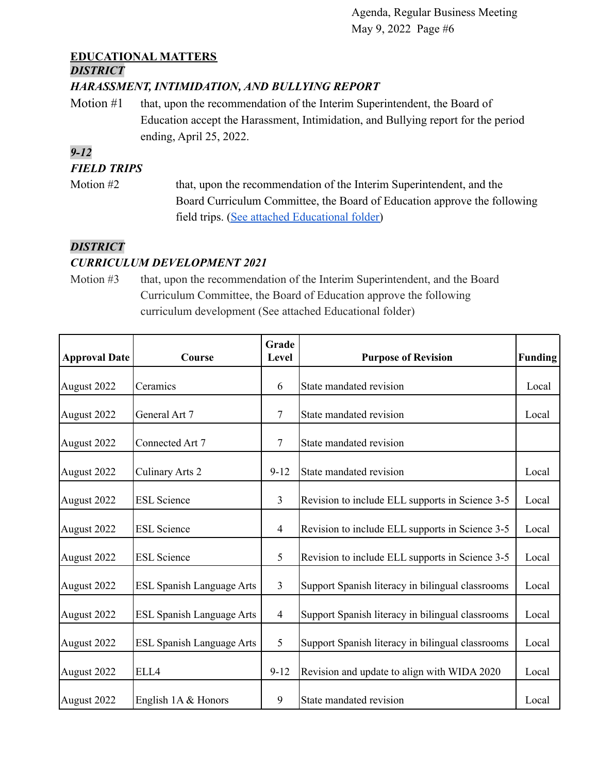# **EDUCATIONAL MATTERS**

# *DISTRICT*

#### *HARASSMENT, INTIMIDATION, AND BULLYING REPORT*

Motion #1 that, upon the recommendation of the Interim Superintendent, the Board of Education accept the Harassment, Intimidation, and Bullying report for the period ending, April 25, 2022.

# *9-12*

# *FIELD TRIPS*

Motion #2 that, upon the recommendation of the Interim Superintendent, and the Board Curriculum Committee, the Board of Education approve the following field trips. [\(See attached Educational folder\)](https://drive.google.com/file/d/1GWWQm-O_MP-SGYzZolxVodAFEatCr0Rn/view?usp=sharing)

# *DISTRICT*

# *CURRICULUM DEVELOPMENT 2021*

Motion #3 that, upon the recommendation of the Interim Superintendent, and the Board Curriculum Committee, the Board of Education approve the following curriculum development (See attached Educational folder)

| <b>Approval Date</b> | Course                           | Grade<br>Level | <b>Purpose of Revision</b>                       | <b>Funding</b> |
|----------------------|----------------------------------|----------------|--------------------------------------------------|----------------|
| August 2022          | Ceramics                         | 6              | State mandated revision                          | Local          |
| August 2022          | General Art 7                    | 7              | State mandated revision                          | Local          |
| August 2022          | Connected Art 7                  | 7              | State mandated revision                          |                |
| August 2022          | Culinary Arts 2                  | $9 - 12$       | State mandated revision                          | Local          |
| August 2022          | <b>ESL Science</b>               | $\overline{3}$ | Revision to include ELL supports in Science 3-5  | Local          |
| August 2022          | <b>ESL Science</b>               | 4              | Revision to include ELL supports in Science 3-5  | Local          |
| August 2022          | <b>ESL Science</b>               | 5              | Revision to include ELL supports in Science 3-5  | Local          |
| August 2022          | <b>ESL Spanish Language Arts</b> | $\overline{3}$ | Support Spanish literacy in bilingual classrooms | Local          |
| August 2022          | <b>ESL Spanish Language Arts</b> | $\overline{4}$ | Support Spanish literacy in bilingual classrooms | Local          |
| August 2022          | ESL Spanish Language Arts        | 5              | Support Spanish literacy in bilingual classrooms | Local          |
| August 2022          | ELL4                             | $9 - 12$       | Revision and update to align with WIDA 2020      | Local          |
| August 2022          | English $1A &$ Honors            | 9              | State mandated revision                          | Local          |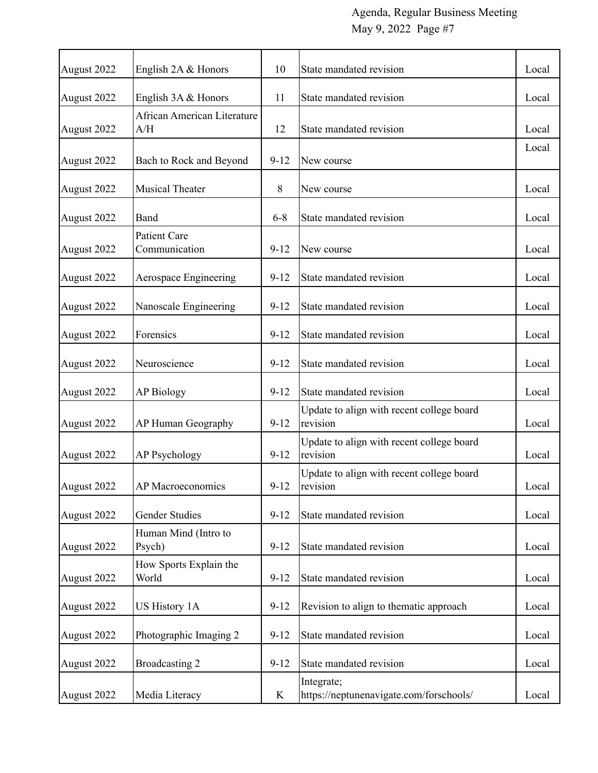| August 2022 | English 2A & Honors                | 10       | State mandated revision                               | Local |
|-------------|------------------------------------|----------|-------------------------------------------------------|-------|
| August 2022 | English 3A & Honors                | 11       | State mandated revision                               | Local |
| August 2022 | African American Literature<br>A/H | 12       | State mandated revision                               | Local |
| August 2022 | Bach to Rock and Beyond            | $9 - 12$ | New course                                            | Local |
| August 2022 | <b>Musical Theater</b>             | 8        | New course                                            | Local |
| August 2022 | Band                               | $6 - 8$  | State mandated revision                               | Local |
| August 2022 | Patient Care<br>Communication      | $9 - 12$ | New course                                            | Local |
| August 2022 | Aerospace Engineering              | $9 - 12$ | State mandated revision                               | Local |
| August 2022 | Nanoscale Engineering              | $9 - 12$ | State mandated revision                               | Local |
| August 2022 | Forensics                          | $9 - 12$ | State mandated revision                               | Local |
| August 2022 | Neuroscience                       | $9 - 12$ | State mandated revision                               | Local |
| August 2022 | <b>AP Biology</b>                  | $9 - 12$ | State mandated revision                               | Local |
| August 2022 | AP Human Geography                 | $9 - 12$ | Update to align with recent college board<br>revision | Local |
| August 2022 | AP Psychology                      | $9 - 12$ | Update to align with recent college board<br>revision | Local |
| August 2022 | AP Macroeconomics                  | $9 - 12$ | Update to align with recent college board<br>revision | Local |
| August 2022 | <b>Gender Studies</b>              | $9 - 12$ | State mandated revision                               | Local |
| August 2022 | Human Mind (Intro to<br>Psych)     | $9 - 12$ | State mandated revision                               | Local |
| August 2022 | How Sports Explain the<br>World    | $9 - 12$ | State mandated revision                               | Local |
| August 2022 | <b>US History 1A</b>               | $9-12$   | Revision to align to thematic approach                | Local |
| August 2022 | Photographic Imaging 2             | $9 - 12$ | State mandated revision                               | Local |
| August 2022 | Broadcasting 2                     | $9-12$   | State mandated revision                               | Local |
| August 2022 | Media Literacy                     | K        | Integrate;<br>https://neptunenavigate.com/forschools/ | Local |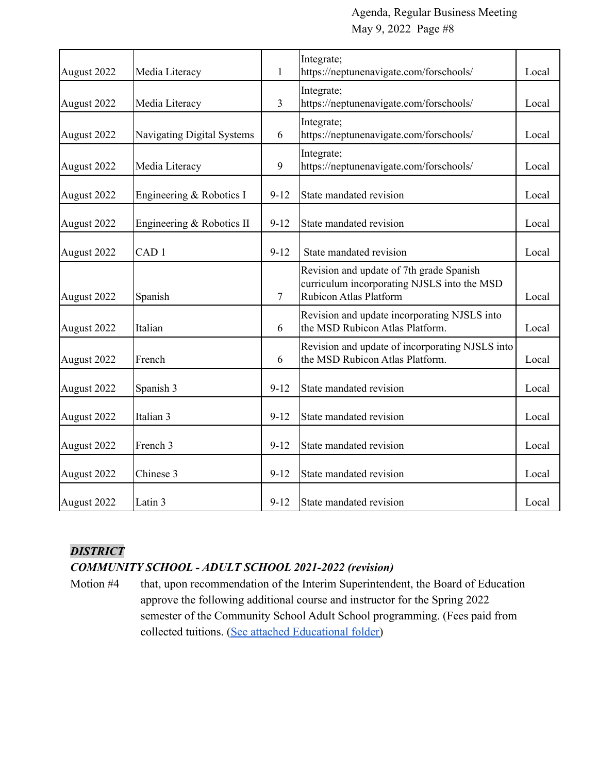| August 2022 | Media Literacy             | $\mathbf{1}$   | Integrate;<br>https://neptunenavigate.com/forschools/                                                                    | Local |
|-------------|----------------------------|----------------|--------------------------------------------------------------------------------------------------------------------------|-------|
| August 2022 | Media Literacy             | $\mathfrak{Z}$ | Integrate;<br>https://neptunenavigate.com/forschools/                                                                    | Local |
| August 2022 | Navigating Digital Systems | 6              | Integrate;<br>https://neptunenavigate.com/forschools/                                                                    | Local |
| August 2022 | Media Literacy             | 9              | Integrate;<br>https://neptunenavigate.com/forschools/                                                                    | Local |
| August 2022 | Engineering & Robotics I   | $9 - 12$       | State mandated revision                                                                                                  | Local |
| August 2022 | Engineering & Robotics II  | $9 - 12$       | State mandated revision                                                                                                  | Local |
| August 2022 | CAD <sub>1</sub>           | $9-12$         | State mandated revision                                                                                                  | Local |
| August 2022 | Spanish                    | $\overline{7}$ | Revision and update of 7th grade Spanish<br>curriculum incorporating NJSLS into the MSD<br><b>Rubicon Atlas Platform</b> | Local |
| August 2022 | Italian                    | 6              | Revision and update incorporating NJSLS into<br>the MSD Rubicon Atlas Platform.                                          | Local |
| August 2022 | French                     | 6              | Revision and update of incorporating NJSLS into<br>the MSD Rubicon Atlas Platform.                                       |       |
| August 2022 | Spanish 3                  | $9 - 12$       | State mandated revision                                                                                                  | Local |
| August 2022 | Italian 3                  | $9 - 12$       | State mandated revision                                                                                                  | Local |
| August 2022 | French 3                   | $9 - 12$       | State mandated revision                                                                                                  | Local |
| August 2022 | Chinese 3                  | $9-12$         | State mandated revision                                                                                                  | Local |
| August 2022 | Latin 3                    | $9-12$         | State mandated revision                                                                                                  | Local |

# *DISTRICT*

# *COMMUNITY SCHOOL - ADULT SCHOOL 2021-2022 (revision)*

Motion #4 that, upon recommendation of the Interim Superintendent, the Board of Education approve the following additional course and instructor for the Spring 2022 semester of the Community School Adult School programming. (Fees paid from collected tuitions. [\(See attached Educational folder\)](https://drive.google.com/file/d/1CFlpwuuOsrzlNcnZq8idIybZty8KUWDN/view?usp=sharing)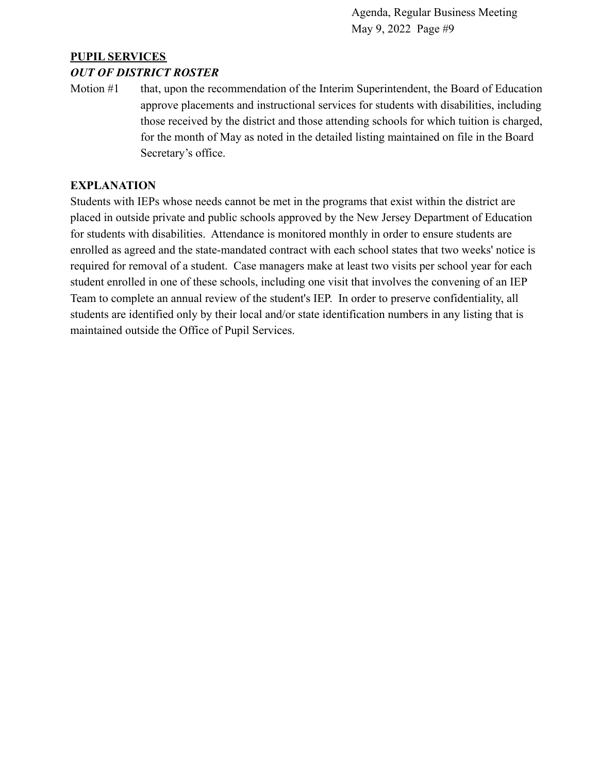# **PUPIL SERVICES**

#### *OUT OF DISTRICT ROSTER*

Motion #1 that, upon the recommendation of the Interim Superintendent, the Board of Education approve placements and instructional services for students with disabilities, including those received by the district and those attending schools for which tuition is charged, for the month of May as noted in the detailed listing maintained on file in the Board Secretary's office.

#### **EXPLANATION**

Students with IEPs whose needs cannot be met in the programs that exist within the district are placed in outside private and public schools approved by the New Jersey Department of Education for students with disabilities. Attendance is monitored monthly in order to ensure students are enrolled as agreed and the state-mandated contract with each school states that two weeks' notice is required for removal of a student. Case managers make at least two visits per school year for each student enrolled in one of these schools, including one visit that involves the convening of an IEP Team to complete an annual review of the student's IEP. In order to preserve confidentiality, all students are identified only by their local and/or state identification numbers in any listing that is maintained outside the Office of Pupil Services.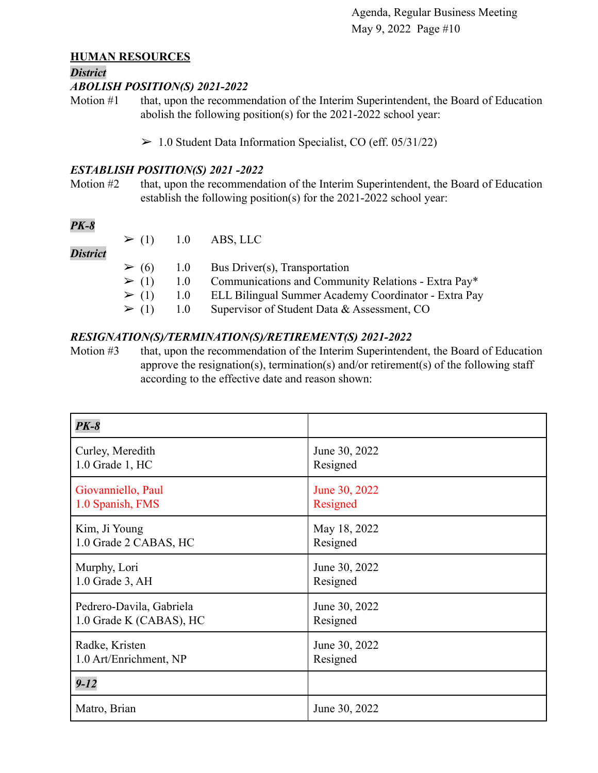#### **HUMAN RESOURCES**

#### *District*

#### *ABOLISH POSITION(S) 2021-2022*

Motion #1 that, upon the recommendation of the Interim Superintendent, the Board of Education abolish the following position(s) for the 2021-2022 school year:

 $> 1.0$  Student Data Information Specialist, CO (eff. 05/31/22)

#### *ESTABLISH POSITION(S) 2021 -2022*

Motion #2 that, upon the recommendation of the Interim Superintendent, the Board of Education establish the following position(s) for the 2021-2022 school year:

# *PK-8*

|                 |                | $\geq$ (1) 1.0 ABS, LLC                                             |
|-----------------|----------------|---------------------------------------------------------------------|
| <b>District</b> |                |                                                                     |
|                 |                | $\geq$ (6) 1.0 Bus Driver(s), Transportation                        |
|                 |                | $\geq$ (1) 1.0 Communications and Community Relations - Extra Pay*  |
|                 |                | $\geq$ (1) 1.0 ELL Bilingual Summer Academy Coordinator - Extra Pay |
|                 | $\geq (1)$ 1.0 | Supervisor of Student Data & Assessment, CO                         |

#### *RESIGNATION(S)/TERMINATION(S)/RETIREMENT(S) 2021-2022*

Motion #3 that, upon the recommendation of the Interim Superintendent, the Board of Education approve the resignation(s), termination(s) and/or retirement(s) of the following staff according to the effective date and reason shown:

| <b>PK-8</b>              |               |
|--------------------------|---------------|
| Curley, Meredith         | June 30, 2022 |
| 1.0 Grade 1, HC          | Resigned      |
| Giovanniello, Paul       | June 30, 2022 |
| 1.0 Spanish, FMS         | Resigned      |
| Kim, Ji Young            | May 18, 2022  |
| 1.0 Grade 2 CABAS, HC    | Resigned      |
| Murphy, Lori             | June 30, 2022 |
| 1.0 Grade 3, AH          | Resigned      |
| Pedrero-Davila, Gabriela | June 30, 2022 |
| 1.0 Grade K (CABAS), HC  | Resigned      |
| Radke, Kristen           | June 30, 2022 |
| 1.0 Art/Enrichment, NP   | Resigned      |
| $9 - 12$                 |               |
| Matro, Brian             | June 30, 2022 |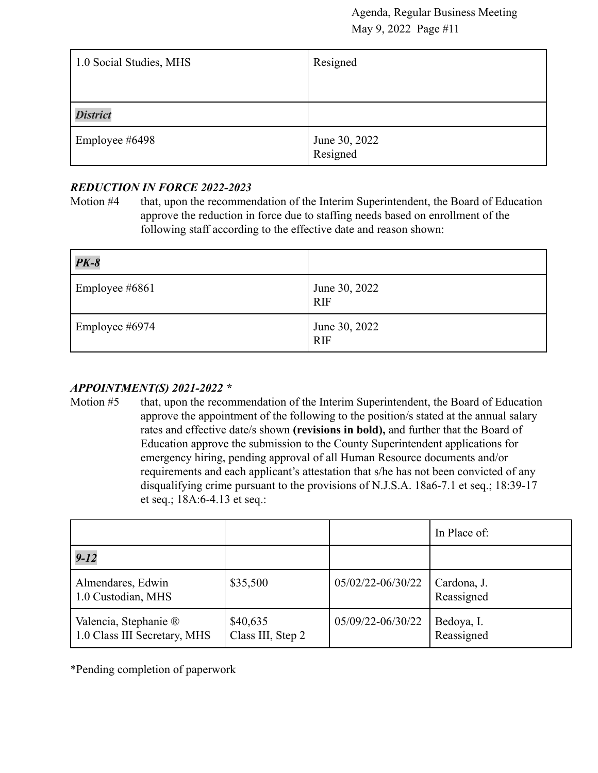| 1.0 Social Studies, MHS | Resigned                  |
|-------------------------|---------------------------|
|                         |                           |
| <b>District</b>         |                           |
| Employee #6498          | June 30, 2022<br>Resigned |

# *REDUCTION IN FORCE 2022-2023*

Motion #4 that, upon the recommendation of the Interim Superintendent, the Board of Education approve the reduction in force due to staffing needs based on enrollment of the following staff according to the effective date and reason shown:

| $PK-8$         |                             |
|----------------|-----------------------------|
| Employee #6861 | June 30, 2022<br><b>RIF</b> |
| Employee #6974 | June 30, 2022<br><b>RIF</b> |

# *APPOINTMENT(S) 2021-2022 \**

Motion #5 that, upon the recommendation of the Interim Superintendent, the Board of Education approve the appointment of the following to the position/s stated at the annual salary rates and effective date/s shown **(revisions in bold),** and further that the Board of Education approve the submission to the County Superintendent applications for emergency hiring, pending approval of all Human Resource documents and/or requirements and each applicant's attestation that s/he has not been convicted of any disqualifying crime pursuant to the provisions of N.J.S.A. 18a6-7.1 et seq.; 18:39-17 et seq.; 18A:6-4.13 et seq.:

|                                                       |                               |                   | In Place of:              |
|-------------------------------------------------------|-------------------------------|-------------------|---------------------------|
| $9 - 12$                                              |                               |                   |                           |
| Almendares, Edwin<br>1.0 Custodian, MHS               | \$35,500                      | 05/02/22-06/30/22 | Cardona, J.<br>Reassigned |
| Valencia, Stephanie ®<br>1.0 Class III Secretary, MHS | \$40,635<br>Class III, Step 2 | 05/09/22-06/30/22 | Bedoya, I.<br>Reassigned  |

\*Pending completion of paperwork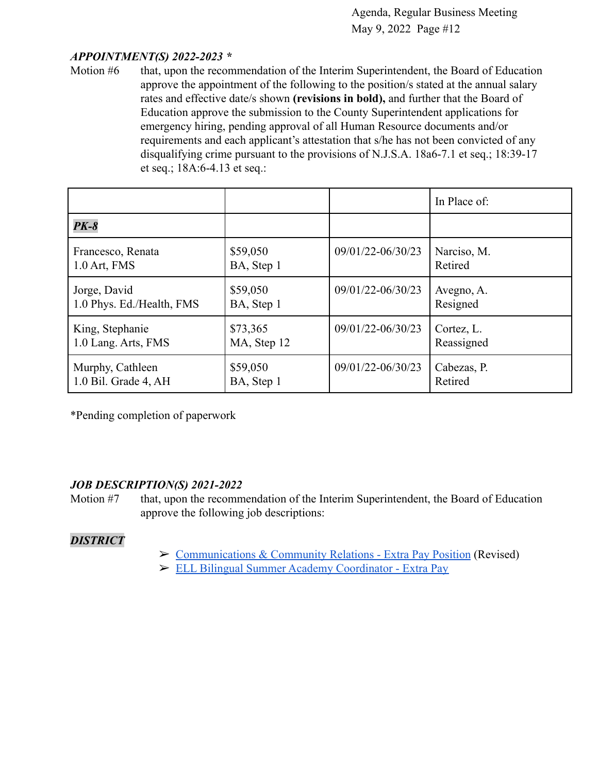#### *APPOINTMENT(S) 2022-2023 \**

Motion #6 that, upon the recommendation of the Interim Superintendent, the Board of Education approve the appointment of the following to the position/s stated at the annual salary rates and effective date/s shown **(revisions in bold),** and further that the Board of Education approve the submission to the County Superintendent applications for emergency hiring, pending approval of all Human Resource documents and/or requirements and each applicant's attestation that s/he has not been convicted of any disqualifying crime pursuant to the provisions of N.J.S.A. 18a6-7.1 et seq.; 18:39-17 et seq.; 18A:6-4.13 et seq.:

|                           |             |                   | In Place of: |
|---------------------------|-------------|-------------------|--------------|
| <b>PK-8</b>               |             |                   |              |
| Francesco, Renata         | \$59,050    | 09/01/22-06/30/23 | Narciso, M.  |
| $1.0$ Art, FMS            | BA, Step 1  |                   | Retired      |
| Jorge, David              | \$59,050    | 09/01/22-06/30/23 | Avegno, A.   |
| 1.0 Phys. Ed./Health, FMS | BA, Step 1  |                   | Resigned     |
| King, Stephanie           | \$73,365    | 09/01/22-06/30/23 | Cortez, L.   |
| 1.0 Lang. Arts, FMS       | MA, Step 12 |                   | Reassigned   |
| Murphy, Cathleen          | \$59,050    | 09/01/22-06/30/23 | Cabezas, P.  |
| 1.0 Bil. Grade 4, AH      | BA, Step 1  |                   | Retired      |

\*Pending completion of paperwork

#### *JOB DESCRIPTION(S) 2021-2022*

Motion #7 that, upon the recommendation of the Interim Superintendent, the Board of Education approve the following job descriptions:

#### *DISTRICT*

- ➢ [Communications & Community Relations Extra Pay Position](https://drive.google.com/file/d/1euqZ0ie2yxktY0Be3X3O7rGzAFIcll1r/view?usp=sharing9orgGNDMFM4a22/view?usp=sharing) (Revised)
- ➢ [ELL Bilingual Summer Academy Coordinator Extra Pay](https://drive.google.com/file/d/1tCmeB79XN2waHfqLGTqve9VJbEVrZiFZ/view?usp=sharing)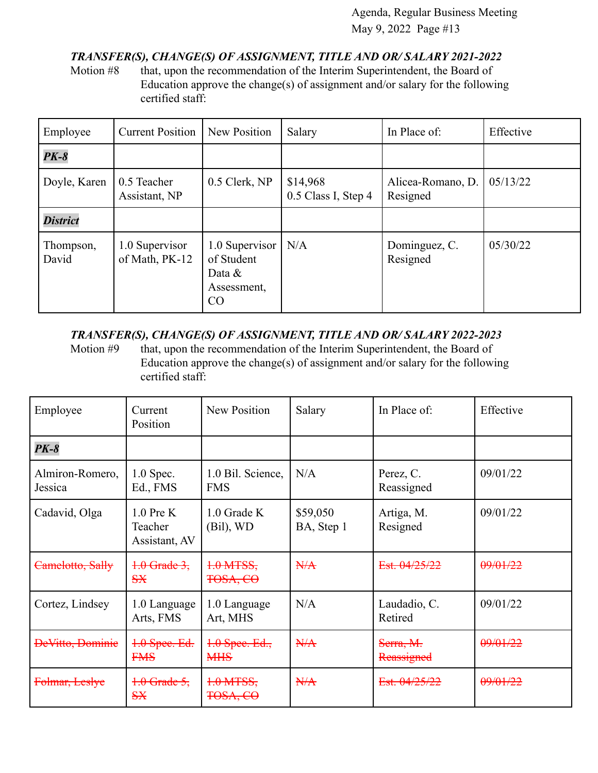# *TRANSFER(S), CHANGE(S) OF ASSIGNMENT, TITLE AND OR/ SALARY 2021-2022*

Motion #8 that, upon the recommendation of the Interim Superintendent, the Board of Education approve the change(s) of assignment and/or salary for the following certified staff:

| Employee           | <b>Current Position</b>          | New Position                                                   | Salary                          | In Place of:                  | Effective |
|--------------------|----------------------------------|----------------------------------------------------------------|---------------------------------|-------------------------------|-----------|
| <b>PK-8</b>        |                                  |                                                                |                                 |                               |           |
| Doyle, Karen       | 0.5 Teacher<br>Assistant, NP     | 0.5 Clerk, NP                                                  | \$14,968<br>0.5 Class I, Step 4 | Alicea-Romano, D.<br>Resigned | 05/13/22  |
| <b>District</b>    |                                  |                                                                |                                 |                               |           |
| Thompson,<br>David | 1.0 Supervisor<br>of Math, PK-12 | 1.0 Supervisor<br>of Student<br>Data $\&$<br>Assessment,<br>CO | N/A                             | Dominguez, C.<br>Resigned     | 05/30/22  |

# *TRANSFER(S), CHANGE(S) OF ASSIGNMENT, TITLE AND OR/ SALARY 2022-2023*

Motion #9 that, upon the recommendation of the Interim Superintendent, the Board of Education approve the change(s) of assignment and/or salary for the following certified staff:

| Employee                   | Current<br>Position                     | <b>New Position</b>                | Salary                 | In Place of:            | Effective |
|----------------------------|-----------------------------------------|------------------------------------|------------------------|-------------------------|-----------|
| $PK-8$                     |                                         |                                    |                        |                         |           |
| Almiron-Romero,<br>Jessica | $1.0$ Spec.<br>Ed., FMS                 | 1.0 Bil. Science,<br><b>FMS</b>    | N/A                    | Perez, C.<br>Reassigned | 09/01/22  |
| Cadavid, Olga              | $1.0$ Pre K<br>Teacher<br>Assistant, AV | $1.0$ Grade K<br>(Bil), WD         | \$59,050<br>BA, Step 1 | Artiga, M.<br>Resigned  | 09/01/22  |
| Camelotto, Sally           | $+0$ Grade 3,<br>S X                    | $1.0$ MTSS,<br><del>TOSA, CO</del> | H/A                    | Est. 04/25/22           | 09/01/22  |
| Cortez, Lindsey            | 1.0 Language<br>Arts, FMS               | 1.0 Language<br>Art, MHS           | N/A                    | Laudadio, C.<br>Retired | 09/01/22  |
| <b>DeVitto, Dominie</b>    | 1.0 Spee. Ed.<br><b>FMS</b>             | $4.0$ Spee. Ed.,<br><b>MHS</b>     | N/A                    | Serra, M.<br>Reassigned | 09/01/22  |
| Folmar, Leslye             | $+0$ Grade 5,<br>S X                    | $1.0$ MTSS,<br><del>TOSA, CO</del> | N/A                    | Est. 04/25/22           | 09/01/22  |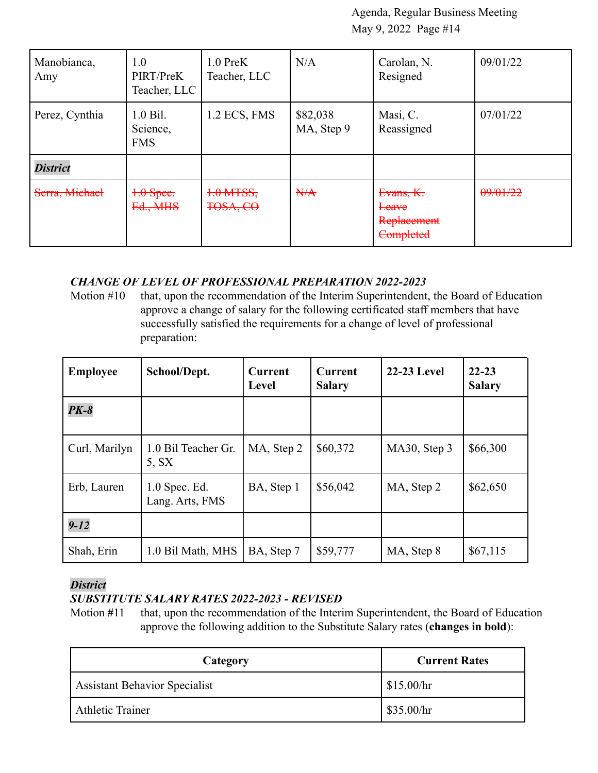| Manobianca,<br>Amy | 1.0<br>PIRT/PreK<br>Teacher, LLC     | $1.0$ PreK<br>Teacher, LLC | N/A                    | Carolan, N.<br>Resigned                        | 09/01/22 |
|--------------------|--------------------------------------|----------------------------|------------------------|------------------------------------------------|----------|
| Perez, Cynthia     | $1.0$ Bil.<br>Science,<br><b>FMS</b> | 1.2 ECS, FMS               | \$82,038<br>MA, Step 9 | Masi, C.<br>Reassigned                         | 07/01/22 |
| <b>District</b>    |                                      |                            |                        |                                                |          |
| Serra, Michael     | $+0$ Spee.<br>Ed., MHS               | $1.0$ MTSS,<br>TOSA, CO    | H/A                    | Evans, K.<br>Leave<br>Replacement<br>Completed | 09/01/22 |

#### *CHANGE OF LEVEL OF PROFESSIONAL PREPARATION 2022-2023*

Motion #10 that, upon the recommendation of the Interim Superintendent, the Board of Education approve a change of salary for the following certificated staff members that have successfully satisfied the requirements for a change of level of professional preparation:

| <b>Employee</b> | School/Dept.                       | <b>Current</b><br>Level | <b>Current</b><br><b>Salary</b> | <b>22-23 Level</b> | $22 - 23$<br><b>Salary</b> |
|-----------------|------------------------------------|-------------------------|---------------------------------|--------------------|----------------------------|
| $PK-8$          |                                    |                         |                                 |                    |                            |
| Curl, Marilyn   | 1.0 Bil Teacher Gr.<br>5. SX       | MA, Step 2              | \$60,372                        | MA30, Step 3       | \$66,300                   |
| Erb, Lauren     | $1.0$ Spec. Ed.<br>Lang. Arts, FMS | BA, Step 1              | \$56,042                        | MA, Step 2         | \$62,650                   |
| $9 - 12$        |                                    |                         |                                 |                    |                            |
| Shah, Erin      | 1.0 Bil Math, MHS                  | BA, Step 7              | \$59,777                        | MA, Step 8         | \$67,115                   |

#### *District*

# *SUBSTITUTE SALARY RATES 2022-2023 - REVISED*

Motion #11 that, upon the recommendation of the Interim Superintendent, the Board of Education approve the following addition to the Substitute Salary rates (**changes in bold**):

| Category                             | <b>Current Rates</b> |
|--------------------------------------|----------------------|
| <b>Assistant Behavior Specialist</b> | \$15.00/hr           |
| <b>Athletic Trainer</b>              | \$35.00/hr           |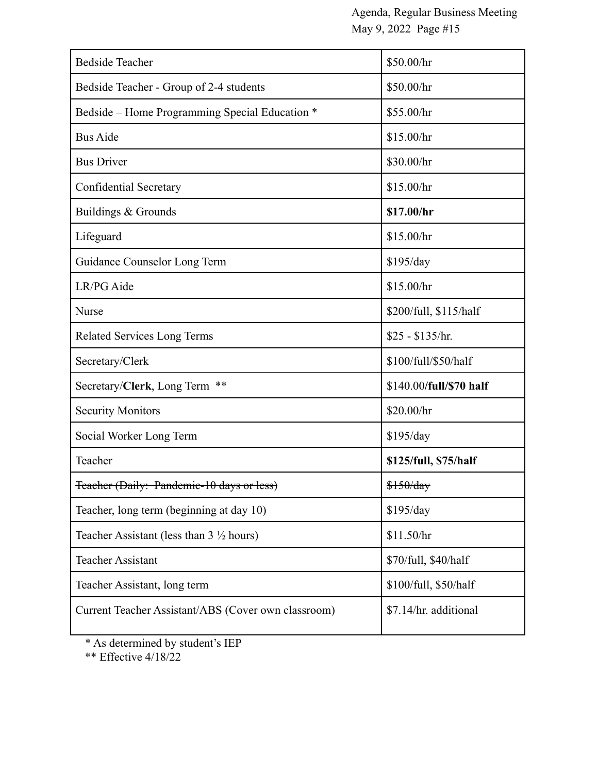| <b>Bedside Teacher</b>                              | \$50.00/hr              |
|-----------------------------------------------------|-------------------------|
|                                                     |                         |
| Bedside Teacher - Group of 2-4 students             | \$50.00/hr              |
| Bedside – Home Programming Special Education *      | \$55.00/hr              |
| <b>Bus Aide</b>                                     | \$15.00/hr              |
| <b>Bus Driver</b>                                   | \$30.00/hr              |
| Confidential Secretary                              | \$15.00/hr              |
| Buildings & Grounds                                 | \$17.00/hr              |
| Lifeguard                                           | \$15.00/hr              |
| Guidance Counselor Long Term                        | \$195/day               |
| LR/PG Aide                                          | \$15.00/hr              |
| <b>Nurse</b>                                        | \$200/full, \$115/half  |
| <b>Related Services Long Terms</b>                  | $$25 - $135/hr$ .       |
| Secretary/Clerk                                     | \$100/full/\$50/half    |
| Secretary/Clerk, Long Term **                       | \$140.00/full/\$70 half |
| <b>Security Monitors</b>                            | \$20.00/hr              |
| Social Worker Long Term                             | \$195/day               |
| Teacher                                             | \$125/full, \$75/half   |
| Feacher (Daily: Pandemic-10 days or less)           | \$150/day               |
| Teacher, long term (beginning at day 10)            | \$195/day               |
| Teacher Assistant (less than $3\frac{1}{2}$ hours)  | \$11.50/hr              |
| <b>Teacher Assistant</b>                            | \$70/full, \$40/half    |
| Teacher Assistant, long term                        | \$100/full, \$50/half   |
| Current Teacher Assistant/ABS (Cover own classroom) | \$7.14/hr. additional   |

\* As determined by student's IEP

\*\* Effective 4/18/22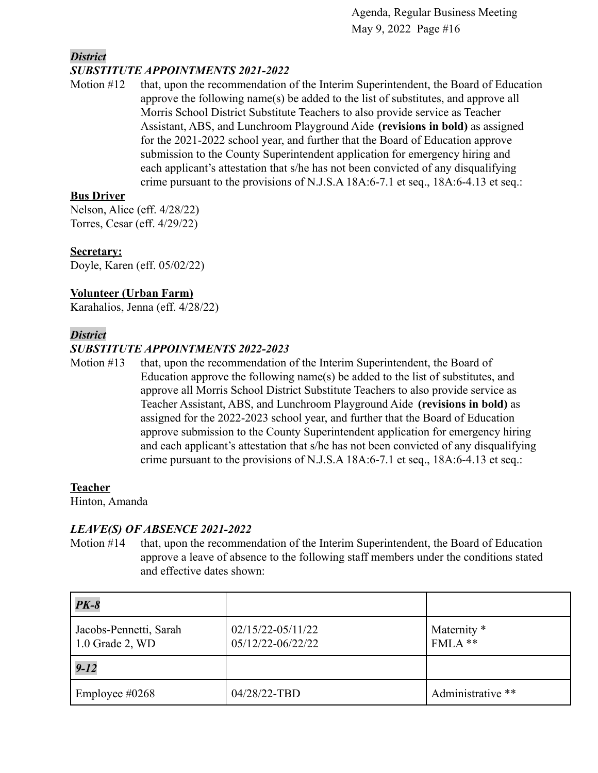#### *District SUBSTITUTE APPOINTMENTS 2021-2022*

Motion #12 that, upon the recommendation of the Interim Superintendent, the Board of Education approve the following name(s) be added to the list of substitutes, and approve all Morris School District Substitute Teachers to also provide service as Teacher Assistant, ABS, and Lunchroom Playground Aide **(revisions in bold)** as assigned for the 2021-2022 school year, and further that the Board of Education approve submission to the County Superintendent application for emergency hiring and each applicant's attestation that s/he has not been convicted of any disqualifying crime pursuant to the provisions of N.J.S.A 18A:6-7.1 et seq., 18A:6-4.13 et seq.:

# **Bus Driver**

Nelson, Alice (eff. 4/28/22) Torres, Cesar (eff. 4/29/22)

# **Secretary:**

Doyle, Karen (eff. 05/02/22)

#### **Volunteer (Urban Farm)**

Karahalios, Jenna (eff. 4/28/22)

#### *District*

# *SUBSTITUTE APPOINTMENTS 2022-2023*

Motion #13 that, upon the recommendation of the Interim Superintendent, the Board of Education approve the following name(s) be added to the list of substitutes, and approve all Morris School District Substitute Teachers to also provide service as Teacher Assistant, ABS, and Lunchroom Playground Aide **(revisions in bold)** as assigned for the 2022-2023 school year, and further that the Board of Education approve submission to the County Superintendent application for emergency hiring and each applicant's attestation that s/he has not been convicted of any disqualifying crime pursuant to the provisions of N.J.S.A 18A:6-7.1 et seq., 18A:6-4.13 et seq.:

#### **Teacher**

Hinton, Amanda

#### *LEAVE(S) OF ABSENCE 2021-2022*

Motion #14 that, upon the recommendation of the Interim Superintendent, the Board of Education approve a leave of absence to the following staff members under the conditions stated and effective dates shown:

| $PK-8$                                    |                                            |                          |
|-------------------------------------------|--------------------------------------------|--------------------------|
| Jacobs-Pennetti, Sarah<br>1.0 Grade 2, WD | $02/15/22 - 05/11/22$<br>05/12/22-06/22/22 | Maternity *<br>$FMLA$ ** |
| $9 - 12$                                  |                                            |                          |
| Employee $\#0268$                         | 04/28/22-TBD                               | Administrative **        |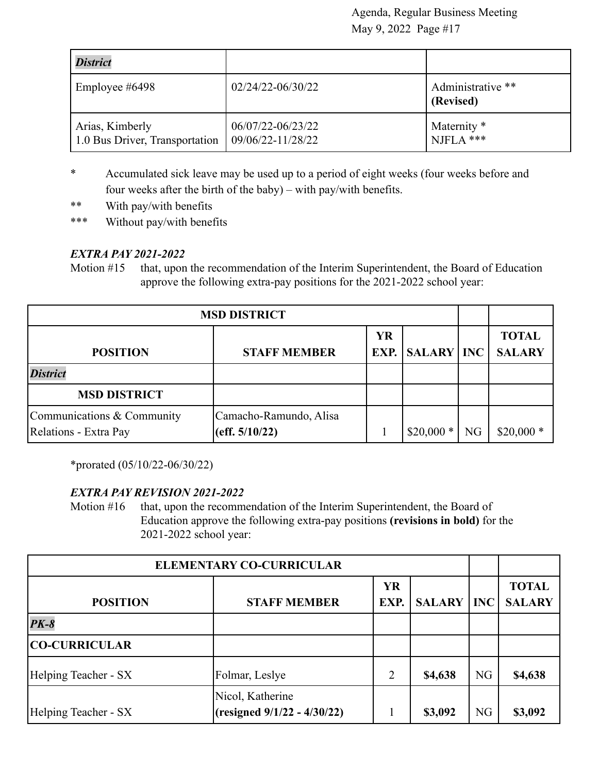| <b>District</b>                                   |                                        |                                |
|---------------------------------------------------|----------------------------------------|--------------------------------|
| Employee $\#6498$                                 | $02/24/22 - 06/30/22$                  | Administrative **<br>(Revised) |
| Arias, Kimberly<br>1.0 Bus Driver, Transportation | 06/07/22-06/23/22<br>09/06/22-11/28/22 | Maternity *<br>I NJFLA ***     |

- \* Accumulated sick leave may be used up to a period of eight weeks (four weeks before and four weeks after the birth of the baby) – with pay/with benefits.
- \*\* With pay/with benefits
- \*\*\* Without pay/with benefits

# *EXTRA PAY 2021-2022*

Motion #15 that, upon the recommendation of the Interim Superintendent, the Board of Education approve the following extra-pay positions for the 2021-2022 school year:

| <b>MSD DISTRICT</b>                                 |                                          |           |                        |    |                               |
|-----------------------------------------------------|------------------------------------------|-----------|------------------------|----|-------------------------------|
| <b>POSITION</b>                                     | <b>STAFF MEMBER</b>                      | <b>YR</b> | <b>EXP.</b> SALARY INC |    | <b>TOTAL</b><br><b>SALARY</b> |
| <b>District</b>                                     |                                          |           |                        |    |                               |
| <b>MSD DISTRICT</b>                                 |                                          |           |                        |    |                               |
| Communications & Community<br>Relations - Extra Pay | Camacho-Ramundo, Alisa<br>(eff. 5/10/22) |           | ∗<br>\$20,000          | NG | $$20,000*$                    |

\*prorated (05/10/22-06/30/22)

#### *EXTRA PAY REVISION 2021-2022*

Motion #16 that, upon the recommendation of the Interim Superintendent, the Board of Education approve the following extra-pay positions **(revisions in bold)** for the 2021-2022 school year:

| <b>ELEMENTARY CO-CURRICULAR</b> |                                                 |                   |               |            |                               |
|---------------------------------|-------------------------------------------------|-------------------|---------------|------------|-------------------------------|
| <b>POSITION</b>                 | <b>STAFF MEMBER</b>                             | <b>YR</b><br>EXP. | <b>SALARY</b> | <b>INC</b> | <b>TOTAL</b><br><b>SALARY</b> |
| $PK-8$                          |                                                 |                   |               |            |                               |
| <b>CO-CURRICULAR</b>            |                                                 |                   |               |            |                               |
| Helping Teacher - SX            | Folmar, Leslye                                  | 2                 | \$4,638       | <b>NG</b>  | \$4,638                       |
| Helping Teacher - SX            | Nicol, Katherine<br>(resigned 9/1/22 - 4/30/22) |                   | \$3,092       | <b>NG</b>  | \$3,092                       |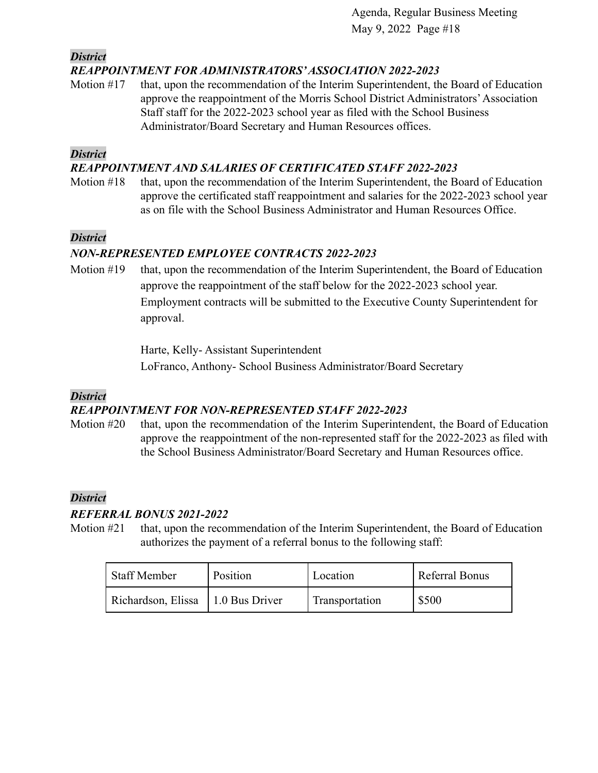*District*

#### *REAPPOINTMENT FOR ADMINISTRATORS'ASSOCIATION 2022-2023*

Motion #17 that, upon the recommendation of the Interim Superintendent, the Board of Education approve the reappointment of the Morris School District Administrators'Association Staff staff for the 2022-2023 school year as filed with the School Business Administrator/Board Secretary and Human Resources offices.

#### *District*

#### *REAPPOINTMENT AND SALARIES OF CERTIFICATED STAFF 2022-2023*

Motion #18 that, upon the recommendation of the Interim Superintendent, the Board of Education approve the certificated staff reappointment and salaries for the 2022-2023 school year as on file with the School Business Administrator and Human Resources Office.

# *District*

# *NON-REPRESENTED EMPLOYEE CONTRACTS 2022-2023*

Motion #19 that, upon the recommendation of the Interim Superintendent, the Board of Education approve the reappointment of the staff below for the 2022-2023 school year. Employment contracts will be submitted to the Executive County Superintendent for approval.

> Harte, Kelly- Assistant Superintendent LoFranco, Anthony- School Business Administrator/Board Secretary

#### *District*

# *REAPPOINTMENT FOR NON-REPRESENTED STAFF 2022-2023*

Motion #20 that, upon the recommendation of the Interim Superintendent, the Board of Education approve the reappointment of the non-represented staff for the 2022-2023 as filed with the School Business Administrator/Board Secretary and Human Resources office.

# *District*

# *REFERRAL BONUS 2021-2022*

Motion #21 that, upon the recommendation of the Interim Superintendent, the Board of Education authorizes the payment of a referral bonus to the following staff:

| Staff Member       | Position       | Location       | Referral Bonus |
|--------------------|----------------|----------------|----------------|
| Richardson, Elissa | 1.0 Bus Driver | Transportation | \$500          |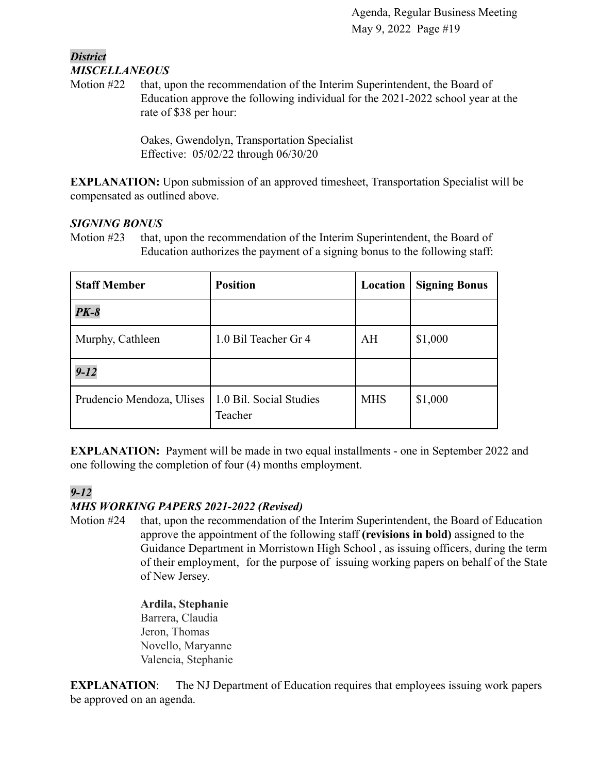#### *District MISCELLANEOUS*

Motion #22 that, upon the recommendation of the Interim Superintendent, the Board of Education approve the following individual for the 2021-2022 school year at the rate of \$38 per hour:

> Oakes, Gwendolyn, Transportation Specialist Effective: 05/02/22 through 06/30/20

**EXPLANATION:** Upon submission of an approved timesheet, Transportation Specialist will be compensated as outlined above.

# *SIGNING BONUS*

Motion #23 that, upon the recommendation of the Interim Superintendent, the Board of Education authorizes the payment of a signing bonus to the following staff:

| <b>Staff Member</b>                                 | <b>Position</b>      | Location   | <b>Signing Bonus</b> |
|-----------------------------------------------------|----------------------|------------|----------------------|
| <b>PK-8</b>                                         |                      |            |                      |
| Murphy, Cathleen                                    | 1.0 Bil Teacher Gr 4 | AH         | \$1,000              |
| $9 - 12$                                            |                      |            |                      |
| Prudencio Mendoza, Ulises   1.0 Bil. Social Studies | Teacher              | <b>MHS</b> | \$1,000              |

**EXPLANATION:** Payment will be made in two equal installments - one in September 2022 and one following the completion of four (4) months employment.

# *9-12*

# *MHS WORKING PAPERS 2021-2022 (Revised)*

Motion #24 that, upon the recommendation of the Interim Superintendent, the Board of Education approve the appointment of the following staff **(revisions in bold)** assigned to the Guidance Department in Morristown High School , as issuing officers, during the term of their employment, for the purpose of issuing working papers on behalf of the State of New Jersey.

> **Ardila, Stephanie** Barrera, Claudia Jeron, Thomas Novello, Maryanne Valencia, Stephanie

**EXPLANATION:** The NJ Department of Education requires that employees issuing work papers be approved on an agenda.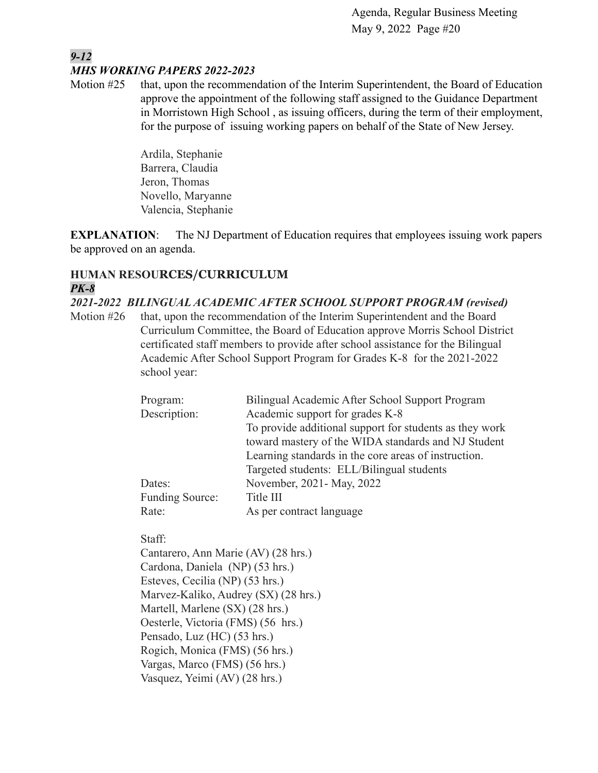#### *9-12 MHS WORKING PAPERS 2022-2023*

Motion #25 that, upon the recommendation of the Interim Superintendent, the Board of Education approve the appointment of the following staff assigned to the Guidance Department in Morristown High School , as issuing officers, during the term of their employment, for the purpose of issuing working papers on behalf of the State of New Jersey.

> Ardila, Stephanie Barrera, Claudia Jeron, Thomas Novello, Maryanne Valencia, Stephanie

**EXPLANATION:** The NJ Department of Education requires that employees issuing work papers be approved on an agenda.

# **HUMAN RESOURCES/CURRICULUM** *PK-8*

*2021-2022 BILINGUAL ACADEMIC AFTER SCHOOL SUPPORT PROGRAM (revised)*

Motion #26 that, upon the recommendation of the Interim Superintendent and the Board Curriculum Committee, the Board of Education approve Morris School District certificated staff members to provide after school assistance for the Bilingual Academic After School Support Program for Grades K-8 for the 2021-2022 school year:

| Program:               | Bilingual Academic After School Support Program         |
|------------------------|---------------------------------------------------------|
| Description:           | Academic support for grades K-8                         |
|                        | To provide additional support for students as they work |
|                        | toward mastery of the WIDA standards and NJ Student     |
|                        | Learning standards in the core areas of instruction.    |
|                        | Targeted students: ELL/Bilingual students               |
| Dates:                 | November, 2021 - May, 2022                              |
| <b>Funding Source:</b> | Title III                                               |
| Rate:                  | As per contract language                                |

Staff:

Cantarero, Ann Marie (AV) (28 hrs.) Cardona, Daniela (NP) (53 hrs.) Esteves, Cecilia (NP) (53 hrs.) Marvez-Kaliko, Audrey (SX) (28 hrs.) Martell, Marlene (SX) (28 hrs.) Oesterle, Victoria (FMS) (56 hrs.) Pensado, Luz (HC) (53 hrs.) Rogich, Monica (FMS) (56 hrs.) Vargas, Marco (FMS) (56 hrs.) Vasquez, Yeimi (AV) (28 hrs.)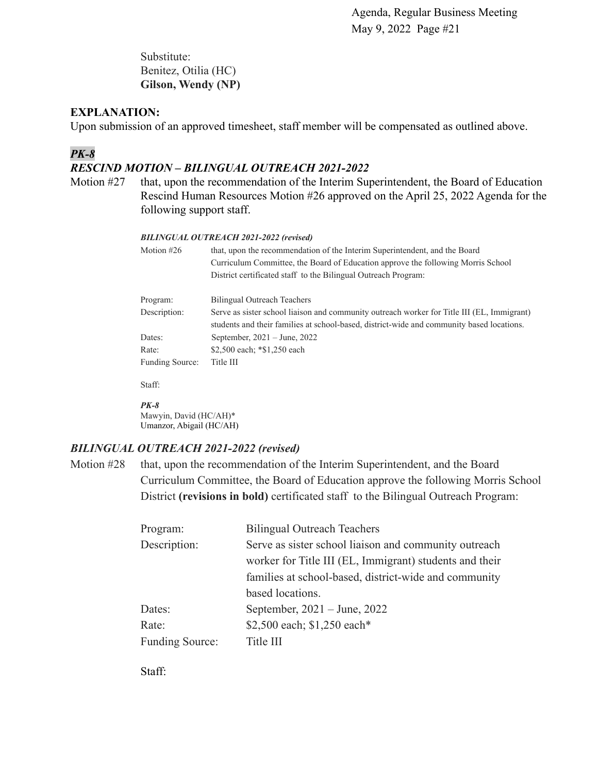Substitute: Benitez, Otilia (HC) **Gilson, Wendy (NP)**

#### **EXPLANATION:**

Upon submission of an approved timesheet, staff member will be compensated as outlined above.

#### *PK-8*

#### *RESCIND MOTION – BILINGUAL OUTREACH 2021-2022*

Motion #27 that, upon the recommendation of the Interim Superintendent, the Board of Education Rescind Human Resources Motion #26 approved on the April 25, 2022 Agenda for the following support staff.

#### *BILINGUAL OUTREACH 2021-2022 (revised)*

| Motion $#26$    | that, upon the recommendation of the Interim Superintendent, and the Board<br>Curriculum Committee, the Board of Education approve the following Morris School<br>District certificated staff to the Bilingual Outreach Program: |
|-----------------|----------------------------------------------------------------------------------------------------------------------------------------------------------------------------------------------------------------------------------|
| Program:        | Bilingual Outreach Teachers                                                                                                                                                                                                      |
| Description:    | Serve as sister school liaison and community outreach worker for Title III (EL, Immigrant)<br>students and their families at school-based, district-wide and community based locations.                                          |
| Dates:          | September, $2021 - June$ , $2022$                                                                                                                                                                                                |
| Rate:           | \$2,500 each; *\$1,250 each                                                                                                                                                                                                      |
| Funding Source: | Title III                                                                                                                                                                                                                        |

Staff:

#### *PK-8*

Mawyin, David (HC/AH)\* Umanzor, Abigail (HC/AH)

#### *BILINGUAL OUTREACH 2021-2022 (revised)*

Motion #28 that, upon the recommendation of the Interim Superintendent, and the Board Curriculum Committee, the Board of Education approve the following Morris School District **(revisions in bold)** certificated staff to the Bilingual Outreach Program:

| Program:               | <b>Bilingual Outreach Teachers</b>                      |
|------------------------|---------------------------------------------------------|
| Description:           | Serve as sister school liaison and community outreach   |
|                        | worker for Title III (EL, Immigrant) students and their |
|                        | families at school-based, district-wide and community   |
|                        | based locations.                                        |
| Dates:                 | September, $2021 - June$ , $2022$                       |
| Rate:                  | \$2,500 each; \$1,250 each*                             |
| <b>Funding Source:</b> | Title III                                               |

Staff: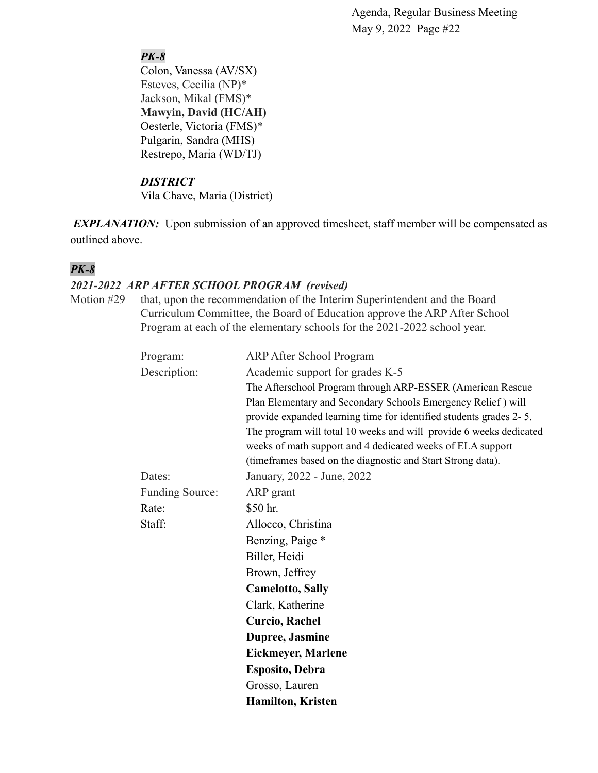# *PK-8*

Colon, Vanessa (AV/SX) Esteves, Cecilia (NP)\* Jackson, Mikal (FMS)\* **Mawyin, David (HC/AH)** Oesterle, Victoria (FMS)\* Pulgarin, Sandra (MHS) Restrepo, Maria (WD/TJ)

# *DISTRICT*

Vila Chave, Maria (District)

*EXPLANATION:* Upon submission of an approved timesheet, staff member will be compensated as outlined above.

# *PK-8*

# *2021-2022 ARP AFTER SCHOOL PROGRAM (revised)*

Motion #29 that, upon the recommendation of the Interim Superintendent and the Board Curriculum Committee, the Board of Education approve the ARP After School Program at each of the elementary schools for the 2021-2022 school year.

| Program:               | <b>ARP After School Program</b>                                    |
|------------------------|--------------------------------------------------------------------|
| Description:           | Academic support for grades K-5                                    |
|                        | The Afterschool Program through ARP-ESSER (American Rescue         |
|                        | Plan Elementary and Secondary Schools Emergency Relief) will       |
|                        | provide expanded learning time for identified students grades 2-5. |
|                        | The program will total 10 weeks and will provide 6 weeks dedicated |
|                        | weeks of math support and 4 dedicated weeks of ELA support         |
|                        | (timeframes based on the diagnostic and Start Strong data).        |
| Dates:                 | January, 2022 - June, 2022                                         |
| <b>Funding Source:</b> | ARP grant                                                          |
| Rate:                  | \$50 hr.                                                           |
| Staff:                 | Allocco, Christina                                                 |
|                        | Benzing, Paige *                                                   |
|                        | Biller, Heidi                                                      |
|                        | Brown, Jeffrey                                                     |
|                        | <b>Camelotto, Sally</b>                                            |
|                        | Clark, Katherine                                                   |
|                        | <b>Curcio, Rachel</b>                                              |
|                        | Dupree, Jasmine                                                    |
|                        | <b>Eickmeyer, Marlene</b>                                          |
|                        | <b>Esposito, Debra</b>                                             |
|                        | Grosso, Lauren                                                     |
|                        | <b>Hamilton, Kristen</b>                                           |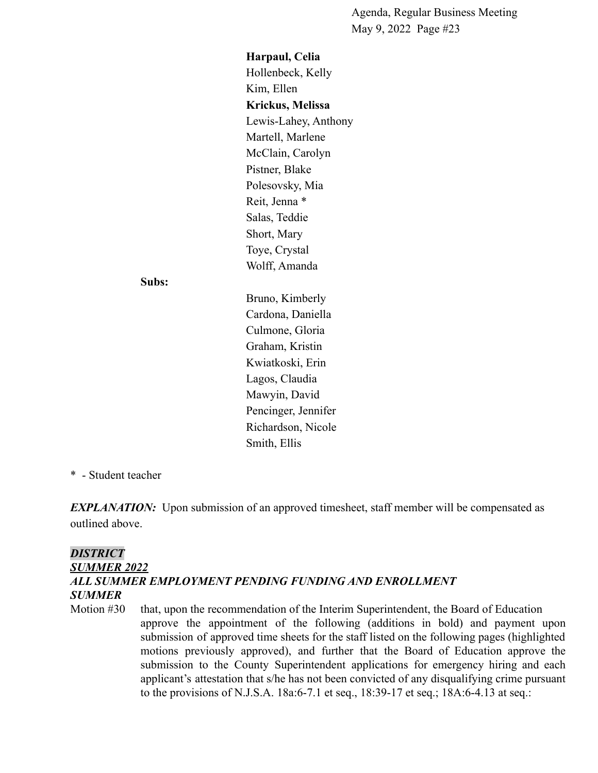**Harpaul, Celia** Hollenbeck, Kelly Kim, Ellen **Krickus, Melissa** Lewis-Lahey, Anthony Martell, Marlene McClain, Carolyn Pistner, Blake Polesovsky, Mia Reit, Jenna \* Salas, Teddie Short, Mary Toye, Crystal Wolff, Amanda

#### **Subs:**

Bruno, Kimberly Cardona, Daniella Culmone, Gloria Graham, Kristin Kwiatkoski, Erin Lagos, Claudia Mawyin, David Pencinger, Jennifer Richardson, Nicole Smith, Ellis

#### \* - Student teacher

*EXPLANATION:* Upon submission of an approved timesheet, staff member will be compensated as outlined above.

# *DISTRICT SUMMER 2022 ALL SUMMER EMPLOYMENT PENDING FUNDING AND ENROLLMENT SUMMER*

Motion #30 that, upon the recommendation of the Interim Superintendent, the Board of Education approve the appointment of the following (additions in bold) and payment upon submission of approved time sheets for the staff listed on the following pages (highlighted motions previously approved), and further that the Board of Education approve the submission to the County Superintendent applications for emergency hiring and each applicant's attestation that s/he has not been convicted of any disqualifying crime pursuant to the provisions of N.J.S.A. 18a:6-7.1 et seq., 18:39-17 et seq.; 18A:6-4.13 at seq.: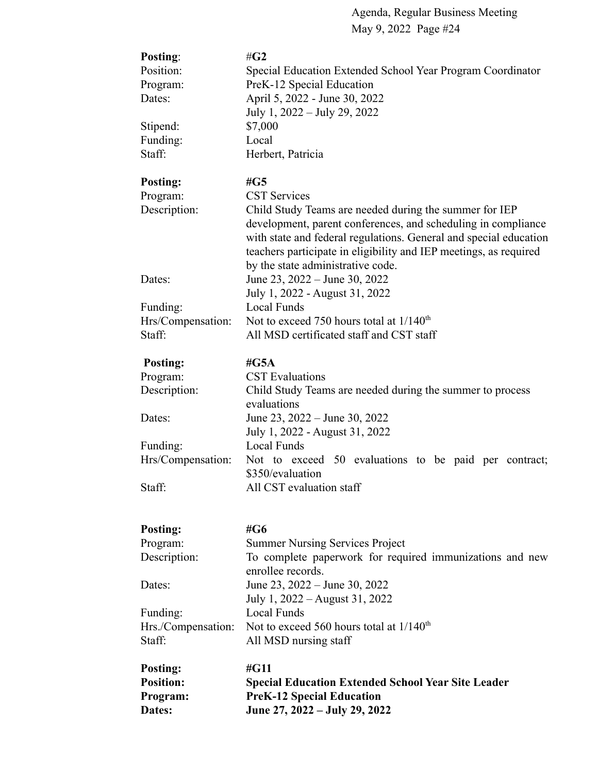| Posting:           | # $G2$                                                                   |
|--------------------|--------------------------------------------------------------------------|
| Position:          | Special Education Extended School Year Program Coordinator               |
| Program:           | PreK-12 Special Education                                                |
| Dates:             | April 5, 2022 - June 30, 2022                                            |
|                    | July 1, 2022 – July 29, 2022                                             |
| Stipend:           | \$7,000                                                                  |
| Funding:           | Local                                                                    |
| Staff:             | Herbert, Patricia                                                        |
|                    |                                                                          |
| <b>Posting:</b>    | # $G5$                                                                   |
| Program:           | <b>CST Services</b>                                                      |
| Description:       | Child Study Teams are needed during the summer for IEP                   |
|                    | development, parent conferences, and scheduling in compliance            |
|                    | with state and federal regulations. General and special education        |
|                    | teachers participate in eligibility and IEP meetings, as required        |
|                    | by the state administrative code.                                        |
| Dates:             | June 23, 2022 – June 30, 2022                                            |
|                    |                                                                          |
|                    | July 1, 2022 - August 31, 2022<br><b>Local Funds</b>                     |
| Funding:           | Not to exceed 750 hours total at $1/140^{th}$                            |
| Hrs/Compensation:  | All MSD certificated staff and CST staff                                 |
| Staff:             |                                                                          |
|                    | # $G5A$                                                                  |
| Posting:           | <b>CST</b> Evaluations                                                   |
| Program:           |                                                                          |
| Description:       | Child Study Teams are needed during the summer to process<br>evaluations |
|                    |                                                                          |
| Dates:             | June 23, 2022 – June 30, 2022                                            |
|                    | July 1, 2022 - August 31, 2022                                           |
| Funding:           | Local Funds                                                              |
| Hrs/Compensation:  | Not to exceed 50 evaluations to be paid per contract;                    |
|                    | \$350/evaluation                                                         |
| Staff:             | All CST evaluation staff                                                 |
|                    |                                                                          |
|                    | #G6                                                                      |
| Posting:           |                                                                          |
| Program:           | <b>Summer Nursing Services Project</b>                                   |
| Description:       | To complete paperwork for required immunizations and new                 |
|                    | enrollee records.                                                        |
| Dates:             | June 23, 2022 – June 30, 2022                                            |
|                    | July 1, 2022 – August 31, 2022                                           |
| Funding:           | Local Funds                                                              |
| Hrs./Compensation: | Not to exceed 560 hours total at 1/140 <sup>th</sup>                     |
| Staff:             | All MSD nursing staff                                                    |
|                    |                                                                          |
| <b>Posting:</b>    | $\#G11$                                                                  |
| <b>Position:</b>   | <b>Special Education Extended School Year Site Leader</b>                |
| Program:           | <b>PreK-12 Special Education</b>                                         |
| Dates:             | June 27, 2022 – July 29, 2022                                            |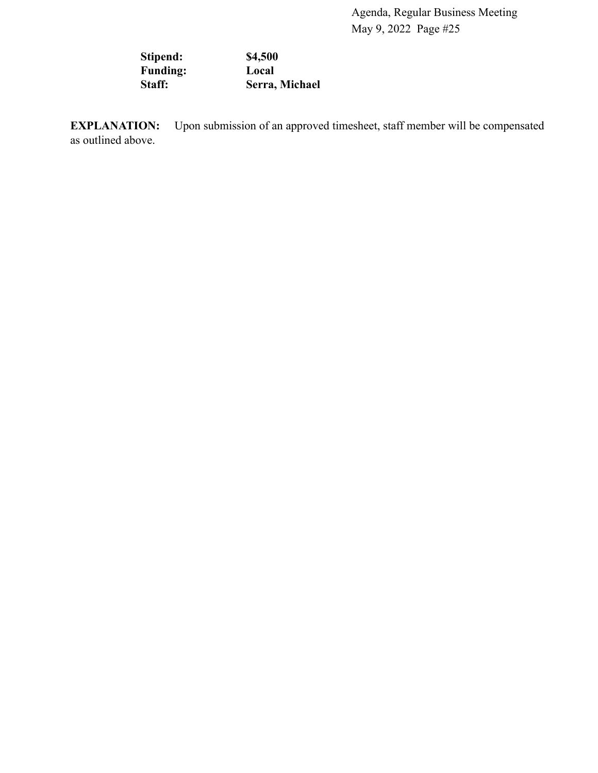**Stipend: \$4,500 Funding: Local Staff: Serra, Michael**

**EXPLANATION:** Upon submission of an approved timesheet, staff member will be compensated as outlined above.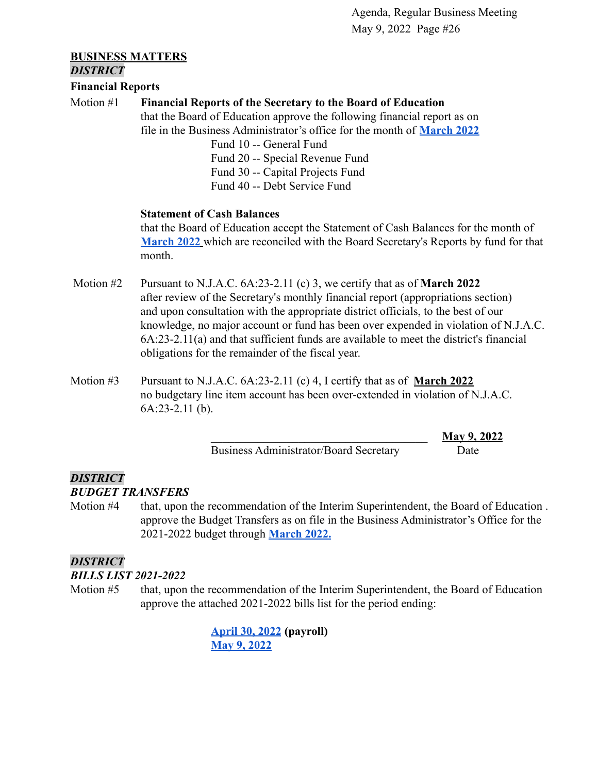#### **BUSINESS MATTERS** *DISTRICT*

# **Financial Reports**

Motion #1 **Financial Reports of the Secretary to the Board of Education**

that the Board of Education approve the following financial report as on file in the Business Administrator's office for the month of **[March 2022](https://drive.google.com/file/d/1BCc-AZw1eSErFDqg31dg8BNx3cneiyGX/view?usp=sharing)**

> Fund 10 -- General Fund Fund 20 -- Special Revenue Fund Fund 30 -- Capital Projects Fund Fund 40 -- Debt Service Fund

#### **Statement of Cash Balances**

that the Board of Education accept the Statement of Cash Balances for the month of **[March 2022](https://drive.google.com/file/d/17Wzbcq6Ykk5kzSwi5rUU0pXjB8OFFPim/view?usp=sharing)** which are reconciled with the Board Secretary's Reports by fund for that month.

- Motion #2 Pursuant to N.J.A.C. 6A:23-2.11 (c) 3, we certify that as of **March 2022** after review of the Secretary's monthly financial report (appropriations section) and upon consultation with the appropriate district officials, to the best of our knowledge, no major account or fund has been over expended in violation of N.J.A.C. 6A:23-2.11(a) and that sufficient funds are available to meet the district's financial obligations for the remainder of the fiscal year.
- Motion #3 Pursuant to N.J.A.C. 6A:23-2.11 (c) 4, I certify that as of **March 2022** no budgetary line item account has been over-extended in violation of N.J.A.C. 6A:23-2.11 (b).

Business Administrator/Board Secretary Date

\_\_\_\_\_\_\_\_\_\_\_\_\_\_\_\_\_\_\_\_\_\_\_\_\_\_\_\_\_\_\_\_\_\_\_\_\_ **May 9, 2022**

# *DISTRICT*

#### *BUDGET TRANSFERS*

Motion #4 that, upon the recommendation of the Interim Superintendent, the Board of Education . approve the Budget Transfers as on file in the Business Administrator's Office for the 2021-2022 budget through **[March 2022.](https://drive.google.com/file/d/1BCPR-tvlkiOjNBSZqQU0h-7mNGbhhgmF/view?usp=sharing)**

# *DISTRICT*

# *BILLS LIST 2021-2022*

Motion #5 that, upon the recommendation of the Interim Superintendent, the Board of Education approve the attached 2021-2022 bills list for the period ending:

> **[April 30, 2022](https://drive.google.com/file/d/1k1NVwc7wnEH_BDwoxNDhON2E_Gz7q52E/view?usp=sharing) (payroll) [May 9, 2022](https://drive.google.com/file/d/16nzN-Xry33N87Vagvv6XPmrqUQZlmPAf/view?usp=sharing)**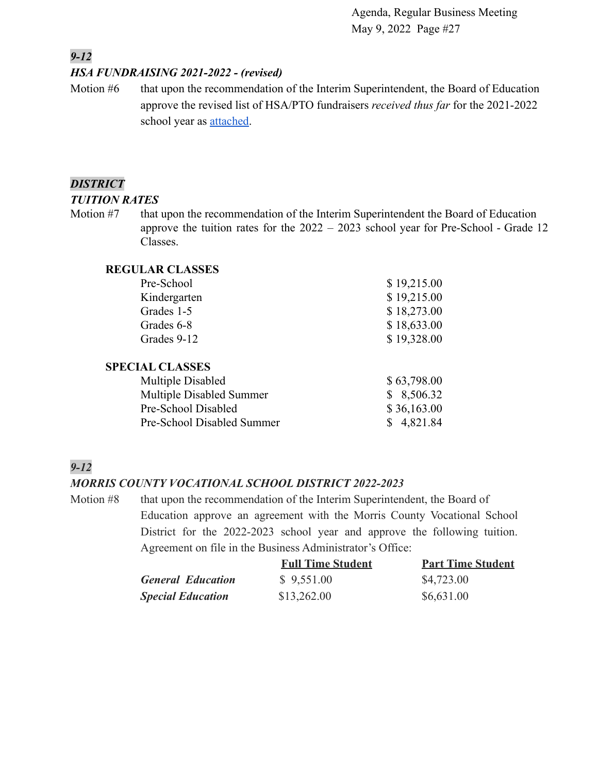# *9-12*

#### *HSA FUNDRAISING 2021-2022 - (revised)*

Motion #6 that upon the recommendation of the Interim Superintendent, the Board of Education approve the revised list of HSA/PTO fundraisers *received thus far* for the 2021-2022 school year as [attached.](https://drive.google.com/file/d/1qHCyEda516DjcA9mxfH6X-iRrNL6K_63/view?usp=sharing)

#### *DISTRICT*

#### *TUITION RATES*

Motion #7 that upon the recommendation of the Interim Superintendent the Board of Education approve the tuition rates for the 2022 – 2023 school year for Pre-School - Grade 12 Classes.

#### **REGULAR CLASSES**

| Pre-School                 | \$19,215.00 |
|----------------------------|-------------|
| Kindergarten               | \$19,215.00 |
| Grades 1-5                 | \$18,273.00 |
| Grades 6-8                 | \$18,633.00 |
| Grades 9-12                | \$19,328.00 |
| <b>SPECIAL CLASSES</b>     |             |
| Multiple Disabled          | \$63,798.00 |
| Multiple Disabled Summer   | 8,506.32    |
| Pre-School Disabled        | \$36,163.00 |
| Pre-School Disabled Summer | 4,821.84    |

# *9-12*

# *MORRIS COUNTY VOCATIONAL SCHOOL DISTRICT 2022-2023*

Motion #8 that upon the recommendation of the Interim Superintendent, the Board of Education approve an agreement with the Morris County Vocational School District for the 2022-2023 school year and approve the following tuition. Agreement on file in the Business Administrator's Office:

|                          | <b>Full Time Student</b> | <b>Part Time Student</b> |
|--------------------------|--------------------------|--------------------------|
| <b>General Education</b> | \$9,551.00               | \$4,723.00               |
| <b>Special Education</b> | \$13,262.00              | \$6,631.00               |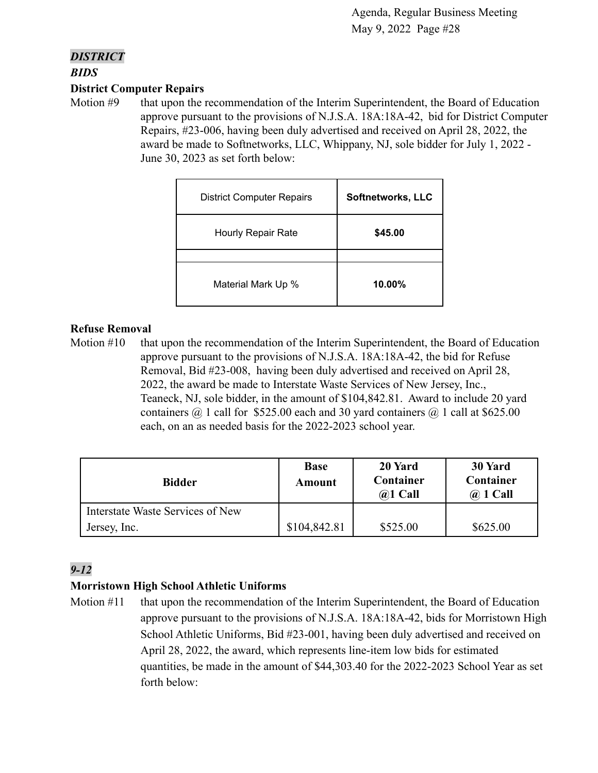#### *DISTRICT*

*BIDS*

#### **District Computer Repairs**

Motion #9 that upon the recommendation of the Interim Superintendent, the Board of Education approve pursuant to the provisions of N.J.S.A. 18A:18A-42, bid for District Computer Repairs, #23-006, having been duly advertised and received on April 28, 2022, the award be made to Softnetworks, LLC, Whippany, NJ, sole bidder for July 1, 2022 - June 30, 2023 as set forth below:

| <b>District Computer Repairs</b> | Softnetworks, LLC |
|----------------------------------|-------------------|
| <b>Hourly Repair Rate</b>        | \$45.00           |
|                                  |                   |
| Material Mark Up %               | $10.00\%$         |

#### **Refuse Removal**

Motion #10 that upon the recommendation of the Interim Superintendent, the Board of Education approve pursuant to the provisions of N.J.S.A. 18A:18A-42, the bid for Refuse Removal, Bid #23-008, having been duly advertised and received on April 28, 2022, the award be made to Interstate Waste Services of New Jersey, Inc., Teaneck, NJ, sole bidder, in the amount of \$104,842.81. Award to include 20 yard containers  $\omega$  1 call for \$525.00 each and 30 yard containers  $\omega$  1 call at \$625.00 each, on an as needed basis for the 2022-2023 school year.

| <b>Bidder</b>                    | <b>Base</b><br>Amount | 20 Yard<br>Container<br>$(a)1$ Call | 30 Yard<br>Container<br>$\omega$ 1 Call |
|----------------------------------|-----------------------|-------------------------------------|-----------------------------------------|
| Interstate Waste Services of New |                       |                                     |                                         |
| Jersey, Inc.                     | \$104,842.81          | \$525.00                            | \$625.00                                |

# *9-12*

# **Morristown High School Athletic Uniforms**

Motion #11 that upon the recommendation of the Interim Superintendent, the Board of Education approve pursuant to the provisions of N.J.S.A. 18A:18A-42, bids for Morristown High School Athletic Uniforms, Bid #23-001, having been duly advertised and received on April 28, 2022, the award, which represents line-item low bids for estimated quantities, be made in the amount of \$44,303.40 for the 2022-2023 School Year as set forth below: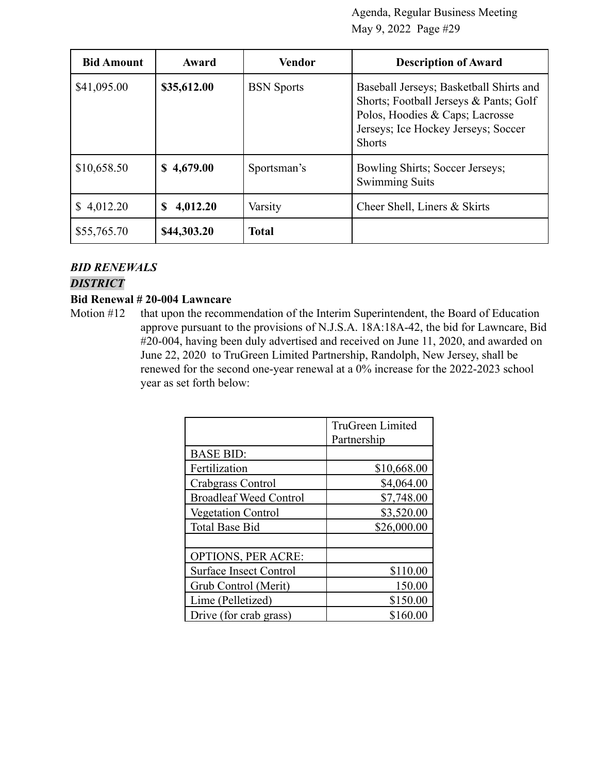| <b>Bid Amount</b> | Award         | Vendor            | <b>Description of Award</b>                                                                                                                                                  |
|-------------------|---------------|-------------------|------------------------------------------------------------------------------------------------------------------------------------------------------------------------------|
| \$41,095.00       | \$35,612.00   | <b>BSN</b> Sports | Baseball Jerseys; Basketball Shirts and<br>Shorts; Football Jerseys & Pants; Golf<br>Polos, Hoodies & Caps; Lacrosse<br>Jerseys; Ice Hockey Jerseys; Soccer<br><b>Shorts</b> |
| \$10,658.50       | \$4,679.00    | Sportsman's       | Bowling Shirts; Soccer Jerseys;<br><b>Swimming Suits</b>                                                                                                                     |
| 4,012.20<br>S.    | 4,012.20<br>S | Varsity           | Cheer Shell, Liners & Skirts                                                                                                                                                 |
| \$55,765.70       | \$44,303.20   | <b>Total</b>      |                                                                                                                                                                              |

#### *BID RENEWALS*

#### *DISTRICT*

#### **Bid Renewal # 20-004 Lawncare**

Motion #12 that upon the recommendation of the Interim Superintendent, the Board of Education approve pursuant to the provisions of N.J.S.A. 18A:18A-42, the bid for Lawncare, Bid #20-004, having been duly advertised and received on June 11, 2020, and awarded on June 22, 2020 to TruGreen Limited Partnership, Randolph, New Jersey, shall be renewed for the second one-year renewal at a 0% increase for the 2022-2023 school year as set forth below:

|                               | <b>TruGreen Limited</b><br>Partnership |
|-------------------------------|----------------------------------------|
| <b>BASE BID:</b>              |                                        |
| Fertilization                 | \$10,668.00                            |
| Crabgrass Control             | \$4,064.00                             |
| <b>Broadleaf Weed Control</b> | \$7,748.00                             |
| <b>Vegetation Control</b>     | \$3,520.00                             |
| <b>Total Base Bid</b>         | \$26,000.00                            |
|                               |                                        |
| <b>OPTIONS, PER ACRE:</b>     |                                        |
| <b>Surface Insect Control</b> | \$110.00                               |
| Grub Control (Merit)          | 150.00                                 |
| Lime (Pelletized)             | \$150.00                               |
| Drive (for crab grass)        | \$160.00                               |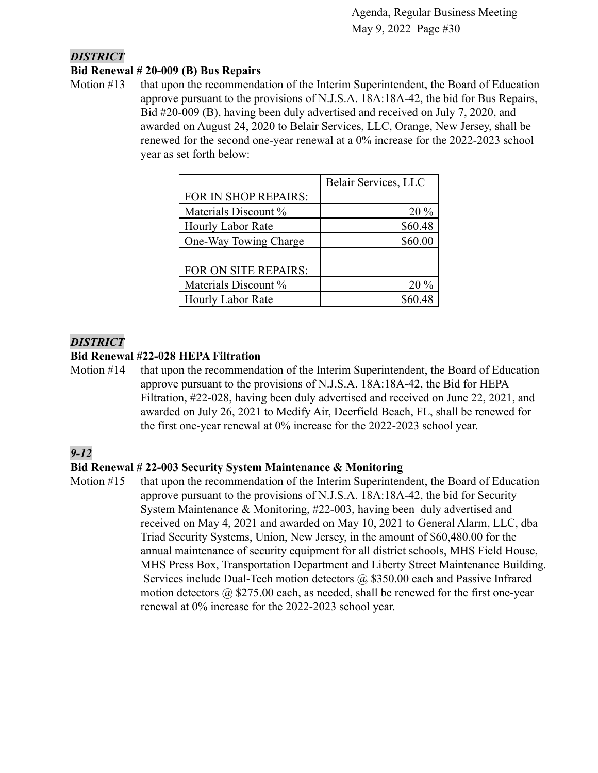#### *DISTRICT*

#### **Bid Renewal # 20-009 (B) Bus Repairs**

Motion #13 that upon the recommendation of the Interim Superintendent, the Board of Education approve pursuant to the provisions of N.J.S.A. 18A:18A-42, the bid for Bus Repairs, Bid #20-009 (B), having been duly advertised and received on July 7, 2020, and awarded on August 24, 2020 to Belair Services, LLC, Orange, New Jersey, shall be renewed for the second one-year renewal at a 0% increase for the 2022-2023 school year as set forth below:

|                          | Belair Services, LLC |
|--------------------------|----------------------|
| FOR IN SHOP REPAIRS:     |                      |
| Materials Discount %     | $20\%$               |
| <b>Hourly Labor Rate</b> | \$60.48              |
| One-Way Towing Charge    | \$60.00              |
|                          |                      |
| FOR ON SITE REPAIRS:     |                      |
| Materials Discount %     | $20\%$               |
| Hourly Labor Rate        |                      |

#### *DISTRICT*

#### **Bid Renewal #22-028 HEPA Filtration**

Motion #14 that upon the recommendation of the Interim Superintendent, the Board of Education approve pursuant to the provisions of N.J.S.A. 18A:18A-42, the Bid for HEPA Filtration, #22-028, having been duly advertised and received on June 22, 2021, and awarded on July 26, 2021 to Medify Air, Deerfield Beach, FL, shall be renewed for the first one-year renewal at 0% increase for the 2022-2023 school year.

# *9-12*

#### **Bid Renewal # 22-003 Security System Maintenance & Monitoring**

Motion #15 that upon the recommendation of the Interim Superintendent, the Board of Education approve pursuant to the provisions of N.J.S.A. 18A:18A-42, the bid for Security System Maintenance & Monitoring, #22-003, having been duly advertised and received on May 4, 2021 and awarded on May 10, 2021 to General Alarm, LLC, dba Triad Security Systems, Union, New Jersey, in the amount of \$60,480.00 for the annual maintenance of security equipment for all district schools, MHS Field House, MHS Press Box, Transportation Department and Liberty Street Maintenance Building. Services include Dual-Tech motion detectors @ \$350.00 each and Passive Infrared motion detectors  $\omega$  \$275.00 each, as needed, shall be renewed for the first one-year renewal at 0% increase for the 2022-2023 school year.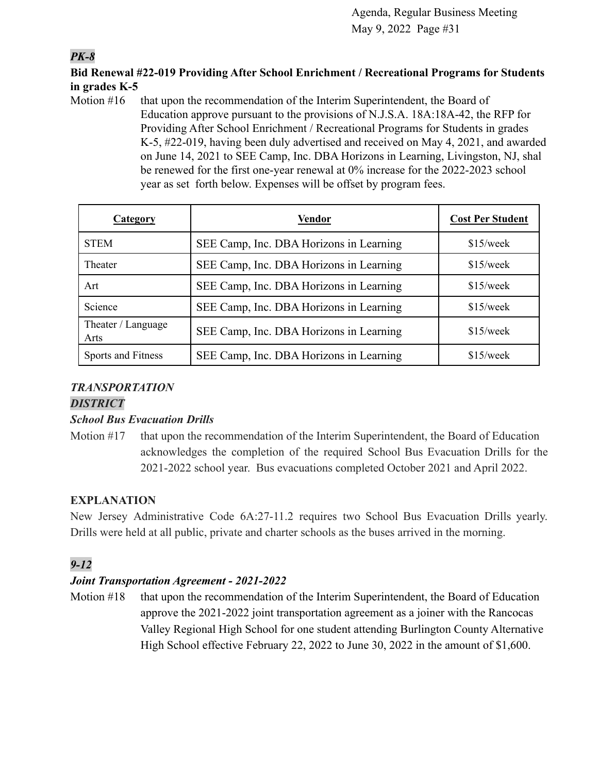# *PK-8*

# **Bid Renewal #22-019 Providing After School Enrichment / Recreational Programs for Students in grades K-5**

Motion  $#16$  that upon the recommendation of the Interim Superintendent, the Board of Education approve pursuant to the provisions of N.J.S.A. 18A:18A-42, the RFP for Providing After School Enrichment / Recreational Programs for Students in grades K-5, #22-019, having been duly advertised and received on May 4, 2021, and awarded on June 14, 2021 to SEE Camp, Inc. DBA Horizons in Learning, Livingston, NJ, shal be renewed for the first one-year renewal at 0% increase for the 2022-2023 school year as set forth below. Expenses will be offset by program fees.

| Category                   | <b>Vendor</b>                           | <b>Cost Per Student</b> |
|----------------------------|-----------------------------------------|-------------------------|
| <b>STEM</b>                | SEE Camp, Inc. DBA Horizons in Learning | $$15$ /week             |
| Theater                    | SEE Camp, Inc. DBA Horizons in Learning | $$15$ /week             |
| Art                        | SEE Camp, Inc. DBA Horizons in Learning | $$15$ /week             |
| Science                    | SEE Camp, Inc. DBA Horizons in Learning | $$15$ /week             |
| Theater / Language<br>Arts | SEE Camp, Inc. DBA Horizons in Learning | $$15$ /week             |
| Sports and Fitness         | SEE Camp, Inc. DBA Horizons in Learning | $$15$ /week             |

# *TRANSPORTATION*

# *DISTRICT*

# *School Bus Evacuation Drills*

Motion #17 that upon the recommendation of the Interim Superintendent, the Board of Education acknowledges the completion of the required School Bus Evacuation Drills for the 2021-2022 school year. Bus evacuations completed October 2021 and April 2022.

# **EXPLANATION**

New Jersey Administrative Code 6A:27-11.2 requires two School Bus Evacuation Drills yearly. Drills were held at all public, private and charter schools as the buses arrived in the morning.

# *9-12*

# *Joint Transportation Agreement - 2021-2022*

Motion #18 that upon the recommendation of the Interim Superintendent, the Board of Education approve the 2021-2022 joint transportation agreement as a joiner with the Rancocas Valley Regional High School for one student attending Burlington County Alternative High School effective February 22, 2022 to June 30, 2022 in the amount of \$1,600.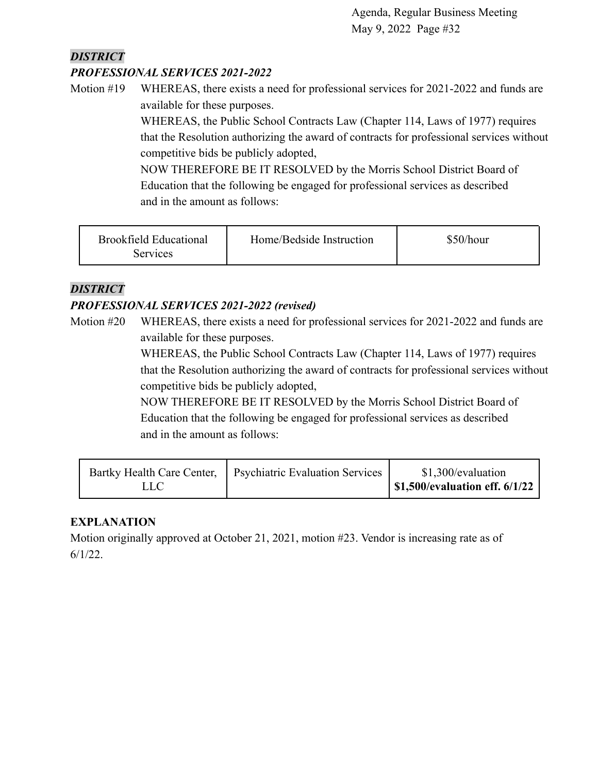# *DISTRICT*

# *PROFESSIONAL SERVICES 2021-2022*

Motion #19 WHEREAS, there exists a need for professional services for 2021-2022 and funds are available for these purposes.

> WHEREAS, the Public School Contracts Law (Chapter 114, Laws of 1977) requires that the Resolution authorizing the award of contracts for professional services without competitive bids be publicly adopted,

NOW THEREFORE BE IT RESOLVED by the Morris School District Board of Education that the following be engaged for professional services as described and in the amount as follows:

| <b>Brookfield Educational</b><br>Services | Home/Bedside Instruction | \$50/hour |
|-------------------------------------------|--------------------------|-----------|
|                                           |                          |           |

# *DISTRICT*

# *PROFESSIONAL SERVICES 2021-2022 (revised)*

Motion #20 WHEREAS, there exists a need for professional services for 2021-2022 and funds are available for these purposes.

> WHEREAS, the Public School Contracts Law (Chapter 114, Laws of 1977) requires that the Resolution authorizing the award of contracts for professional services without competitive bids be publicly adopted,

NOW THEREFORE BE IT RESOLVED by the Morris School District Board of Education that the following be engaged for professional services as described and in the amount as follows:

|      | Bartky Health Care Center,   Psychiatric Evaluation Services | \$1,300/evaluation                    |
|------|--------------------------------------------------------------|---------------------------------------|
| LLC' |                                                              | <b>\$1,500/evaluation eff. 6/1/22</b> |

# **EXPLANATION**

Motion originally approved at October 21, 2021, motion #23. Vendor is increasing rate as of 6/1/22.